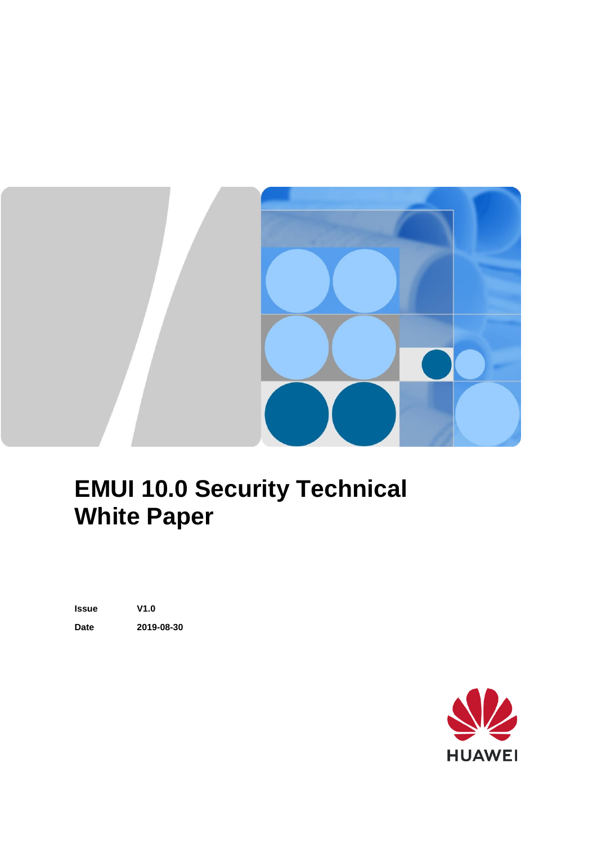

### **EMUI 10.0 Security Technical White Paper**

**Issue V1.0 Date 2019-08-30**

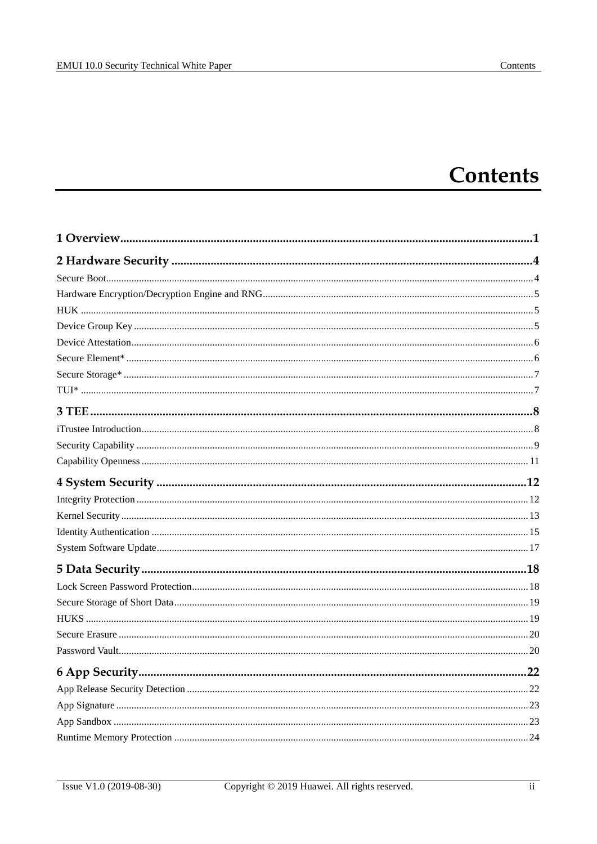### **Contents**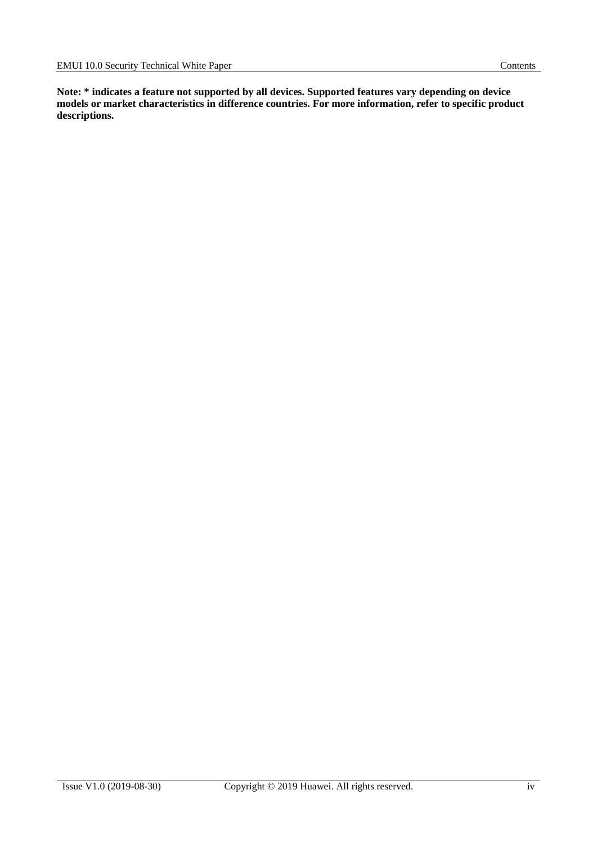**Note: \* indicates a feature not supported by all devices. Supported features vary depending on device models or market characteristics in difference countries. For more information, refer to specific product descriptions.**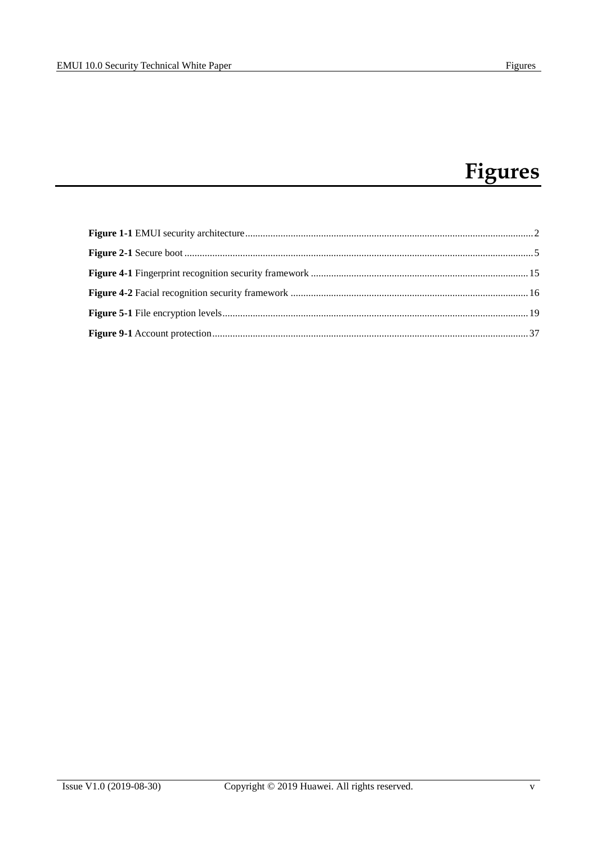### **Figures**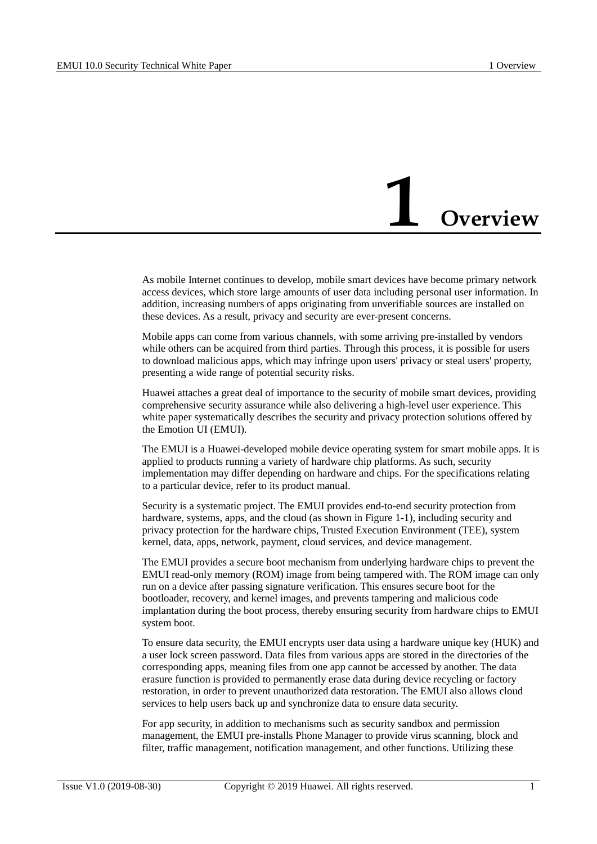### **1 Overview**

<span id="page-5-0"></span>As mobile Internet continues to develop, mobile smart devices have become primary network access devices, which store large amounts of user data including personal user information. In addition, increasing numbers of apps originating from unverifiable sources are installed on these devices. As a result, privacy and security are ever-present concerns.

Mobile apps can come from various channels, with some arriving pre-installed by vendors while others can be acquired from third parties. Through this process, it is possible for users to download malicious apps, which may infringe upon users' privacy or steal users' property, presenting a wide range of potential security risks.

Huawei attaches a great deal of importance to the security of mobile smart devices, providing comprehensive security assurance while also delivering a high-level user experience. This white paper systematically describes the security and privacy protection solutions offered by the Emotion UI (EMUI).

The EMUI is a Huawei-developed mobile device operating system for smart mobile apps. It is applied to products running a variety of hardware chip platforms. As such, security implementation may differ depending on hardware and chips. For the specifications relating to a particular device, refer to its product manual.

Security is a systematic project. The EMUI provides end-to-end security protection from hardware, systems, apps, and the cloud (as shown in [Figure 1-1\)](#page-6-0), including security and privacy protection for the hardware chips, Trusted Execution Environment (TEE), system kernel, data, apps, network, payment, cloud services, and device management.

The EMUI provides a secure boot mechanism from underlying hardware chips to prevent the EMUI read-only memory (ROM) image from being tampered with. The ROM image can only run on a device after passing signature verification. This ensures secure boot for the bootloader, recovery, and kernel images, and prevents tampering and malicious code implantation during the boot process, thereby ensuring security from hardware chips to EMUI system boot.

To ensure data security, the EMUI encrypts user data using a hardware unique key (HUK) and a user lock screen password. Data files from various apps are stored in the directories of the corresponding apps, meaning files from one app cannot be accessed by another. The data erasure function is provided to permanently erase data during device recycling or factory restoration, in order to prevent unauthorized data restoration. The EMUI also allows cloud services to help users back up and synchronize data to ensure data security.

For app security, in addition to mechanisms such as security sandbox and permission management, the EMUI pre-installs Phone Manager to provide virus scanning, block and filter, traffic management, notification management, and other functions. Utilizing these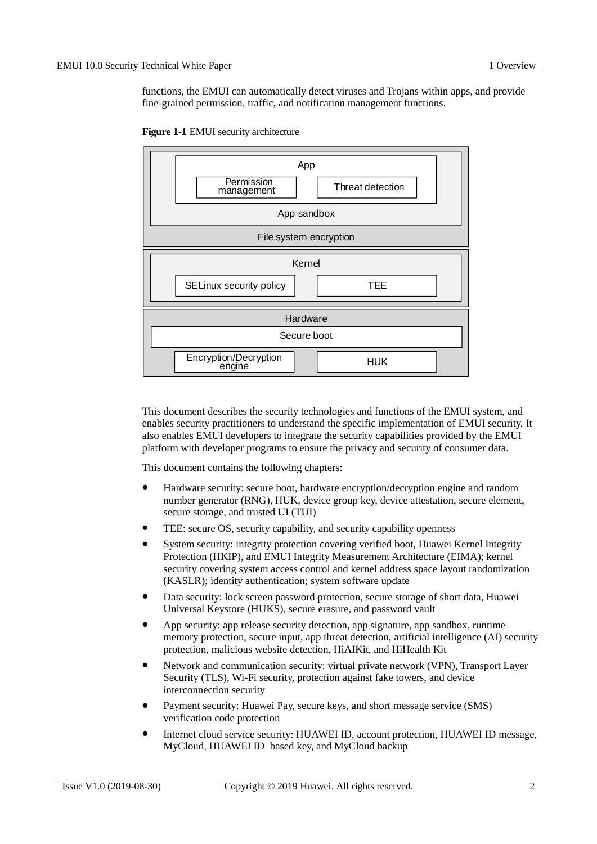functions, the EMUI can automatically detect viruses and Trojans within apps, and provide fine-grained permission, traffic, and notification management functions.

<span id="page-6-0"></span>



This document describes the security technologies and functions of the EMUI system, and enables security practitioners to understand the specific implementation of EMUI security. It also enables EMUI developers to integrate the security capabilities provided by the EMUI platform with developer programs to ensure the privacy and security of consumer data.

This document contains the following chapters:

- Hardware security: secure boot, hardware encryption/decryption engine and random number generator (RNG), HUK, device group key, device attestation, secure element, secure storage, and trusted UI (TUI)
- TEE: secure OS, security capability, and security capability openness
- System security: integrity protection covering verified boot, Huawei Kernel Integrity Protection (HKIP), and EMUI Integrity Measurement Architecture (EIMA); kernel security covering system access control and kernel address space layout randomization (KASLR); identity authentication; system software update
- Data security: lock screen password protection, secure storage of short data, Huawei Universal Keystore (HUKS), secure erasure, and password vault
- App security: app release security detection, app signature, app sandbox, runtime memory protection, secure input, app threat detection, artificial intelligence (AI) security protection, malicious website detection, HiAIKit, and HiHealth Kit
- Network and communication security: virtual private network (VPN), Transport Layer Security (TLS), Wi-Fi security, protection against fake towers, and device interconnection security
- Payment security: Huawei Pay, secure keys, and short message service (SMS) verification code protection
- Internet cloud service security: HUAWEI ID, account protection, HUAWEI ID message, MyCloud, HUAWEI ID–based key, and MyCloud backup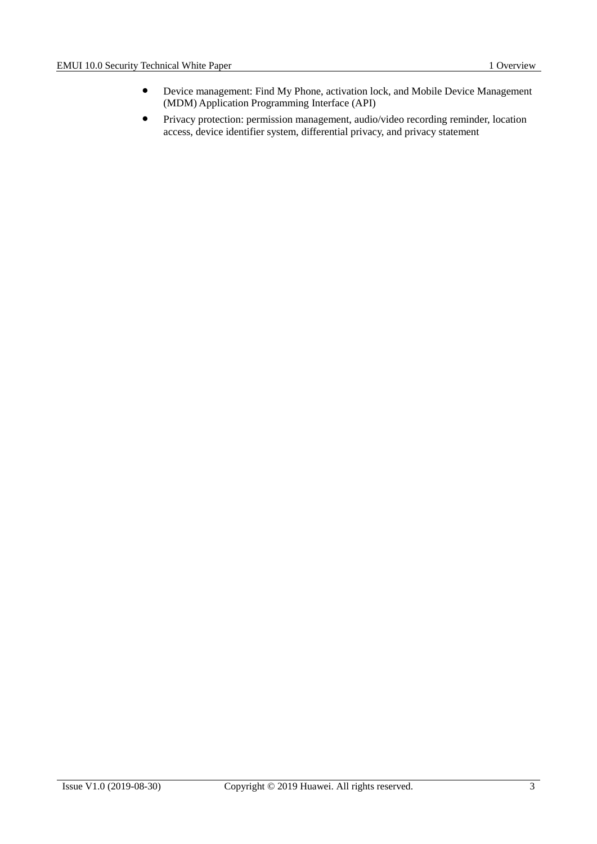- Device management: Find My Phone, activation lock, and Mobile Device Management (MDM) Application Programming Interface (API)
- Privacy protection: permission management, audio/video recording reminder, location access, device identifier system, differential privacy, and privacy statement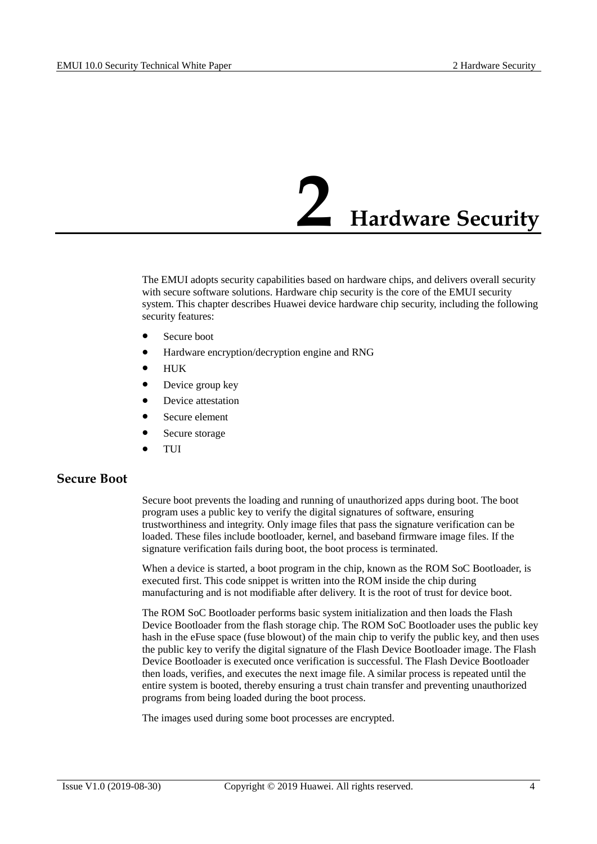## **2 Hardware Security**

<span id="page-8-0"></span>The EMUI adopts security capabilities based on hardware chips, and delivers overall security with secure software solutions. Hardware chip security is the core of the EMUI security system. This chapter describes Huawei device hardware chip security, including the following security features:

- Secure boot
- Hardware encryption/decryption engine and RNG
- $\bullet$  HUK
- Device group key
- Device attestation
- Secure element
- Secure storage
- TUI

#### <span id="page-8-1"></span>**Secure Boot**

Secure boot prevents the loading and running of unauthorized apps during boot. The boot program uses a public key to verify the digital signatures of software, ensuring trustworthiness and integrity. Only image files that pass the signature verification can be loaded. These files include bootloader, kernel, and baseband firmware image files. If the signature verification fails during boot, the boot process is terminated.

When a device is started, a boot program in the chip, known as the ROM SoC Bootloader, is executed first. This code snippet is written into the ROM inside the chip during manufacturing and is not modifiable after delivery. It is the root of trust for device boot.

The ROM SoC Bootloader performs basic system initialization and then loads the Flash Device Bootloader from the flash storage chip. The ROM SoC Bootloader uses the public key hash in the eFuse space (fuse blowout) of the main chip to verify the public key, and then uses the public key to verify the digital signature of the Flash Device Bootloader image. The Flash Device Bootloader is executed once verification is successful. The Flash Device Bootloader then loads, verifies, and executes the next image file. A similar process is repeated until the entire system is booted, thereby ensuring a trust chain transfer and preventing unauthorized programs from being loaded during the boot process.

The images used during some boot processes are encrypted.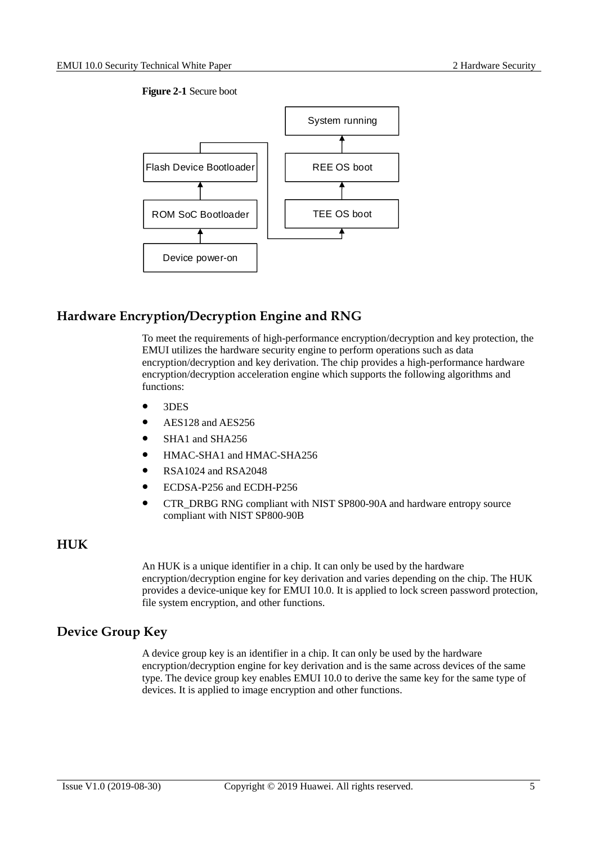#### **Figure 2-1** Secure boot

<span id="page-9-3"></span>

#### <span id="page-9-0"></span>**Hardware Encryption/Decryption Engine and RNG**

To meet the requirements of high-performance encryption/decryption and key protection, the EMUI utilizes the hardware security engine to perform operations such as data encryption/decryption and key derivation. The chip provides a high-performance hardware encryption/decryption acceleration engine which supports the following algorithms and functions:

- 3DES
- AES128 and AES256
- SHA1 and SHA256
- HMAC-SHA1 and HMAC-SHA256
- RSA1024 and RSA2048
- ECDSA-P256 and ECDH-P256
- CTR\_DRBG RNG compliant with NIST SP800-90A and hardware entropy source compliant with NIST SP800-90B

#### <span id="page-9-1"></span>**HUK**

An HUK is a unique identifier in a chip. It can only be used by the hardware encryption/decryption engine for key derivation and varies depending on the chip. The HUK provides a device-unique key for EMUI 10.0. It is applied to lock screen password protection, file system encryption, and other functions.

#### <span id="page-9-2"></span>**Device Group Key**

A device group key is an identifier in a chip. It can only be used by the hardware encryption/decryption engine for key derivation and is the same across devices of the same type. The device group key enables EMUI 10.0 to derive the same key for the same type of devices. It is applied to image encryption and other functions.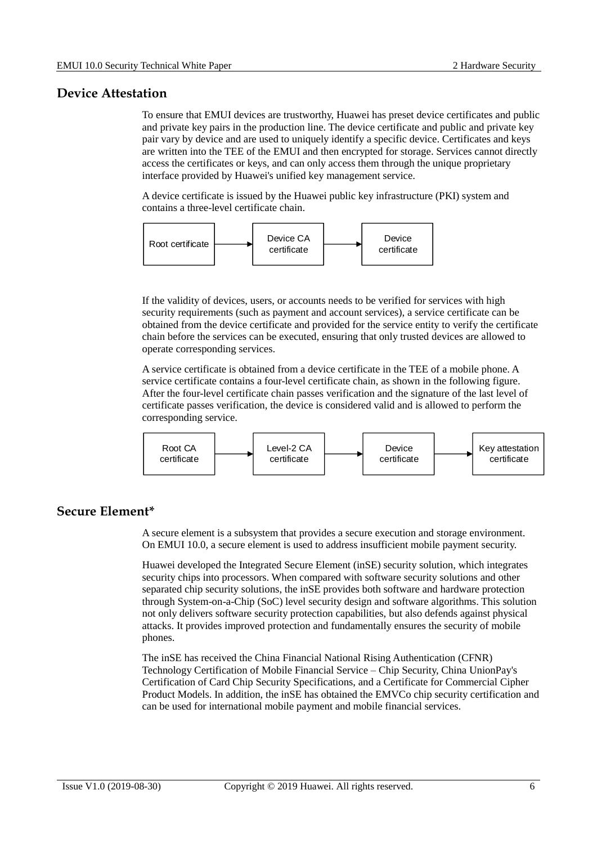#### <span id="page-10-0"></span>**Device Attestation**

To ensure that EMUI devices are trustworthy, Huawei has preset device certificates and public and private key pairs in the production line. The device certificate and public and private key pair vary by device and are used to uniquely identify a specific device. Certificates and keys are written into the TEE of the EMUI and then encrypted for storage. Services cannot directly access the certificates or keys, and can only access them through the unique proprietary interface provided by Huawei's unified key management service.

A device certificate is issued by the Huawei public key infrastructure (PKI) system and contains a three-level certificate chain.



If the validity of devices, users, or accounts needs to be verified for services with high security requirements (such as payment and account services), a service certificate can be obtained from the device certificate and provided for the service entity to verify the certificate chain before the services can be executed, ensuring that only trusted devices are allowed to operate corresponding services.

A service certificate is obtained from a device certificate in the TEE of a mobile phone. A service certificate contains a four-level certificate chain, as shown in the following figure. After the four-level certificate chain passes verification and the signature of the last level of certificate passes verification, the device is considered valid and is allowed to perform the corresponding service.



#### <span id="page-10-1"></span>**Secure Element\***

A secure element is a subsystem that provides a secure execution and storage environment. On EMUI 10.0, a secure element is used to address insufficient mobile payment security.

Huawei developed the Integrated Secure Element (inSE) security solution, which integrates security chips into processors. When compared with software security solutions and other separated chip security solutions, the inSE provides both software and hardware protection through System-on-a-Chip (SoC) level security design and software algorithms. This solution not only delivers software security protection capabilities, but also defends against physical attacks. It provides improved protection and fundamentally ensures the security of mobile phones.

The inSE has received the China Financial National Rising Authentication (CFNR) Technology Certification of Mobile Financial Service – Chip Security, China UnionPay's Certification of Card Chip Security Specifications, and a Certificate for Commercial Cipher Product Models. In addition, the inSE has obtained the EMVCo chip security certification and can be used for international mobile payment and mobile financial services.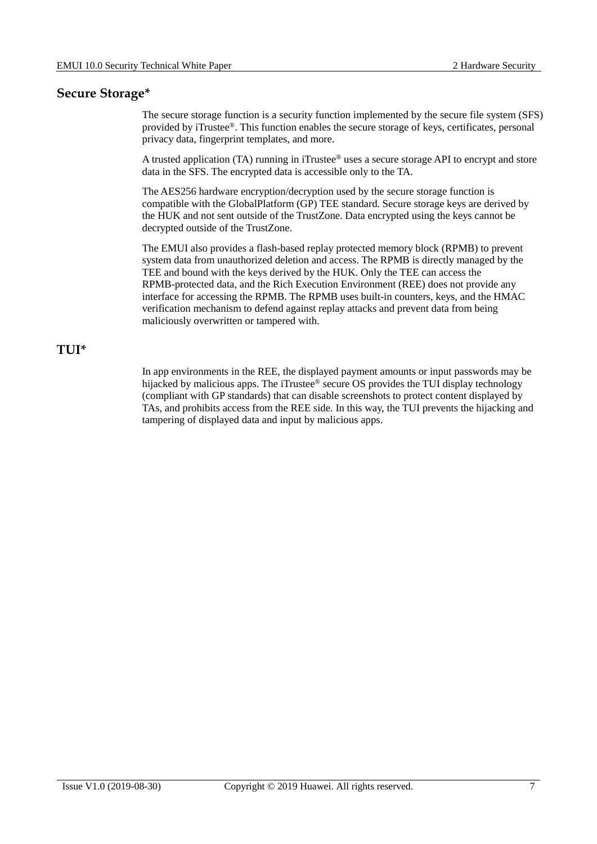#### <span id="page-11-0"></span>**Secure Storage\***

The secure storage function is a security function implemented by the secure file system (SFS) provided by iTrustee®. This function enables the secure storage of keys, certificates, personal privacy data, fingerprint templates, and more.

A trusted application (TA) running in iTrustee® uses a secure storage API to encrypt and store data in the SFS. The encrypted data is accessible only to the TA.

The AES256 hardware encryption/decryption used by the secure storage function is compatible with the GlobalPlatform (GP) TEE standard. Secure storage keys are derived by the HUK and not sent outside of the TrustZone. Data encrypted using the keys cannot be decrypted outside of the TrustZone.

The EMUI also provides a flash-based replay protected memory block (RPMB) to prevent system data from unauthorized deletion and access. The RPMB is directly managed by the TEE and bound with the keys derived by the HUK. Only the TEE can access the RPMB-protected data, and the Rich Execution Environment (REE) does not provide any interface for accessing the RPMB. The RPMB uses built-in counters, keys, and the HMAC verification mechanism to defend against replay attacks and prevent data from being maliciously overwritten or tampered with.

#### <span id="page-11-1"></span>**TUI\***

In app environments in the REE, the displayed payment amounts or input passwords may be hijacked by malicious apps. The iTrustee<sup>®</sup> secure OS provides the TUI display technology (compliant with GP standards) that can disable screenshots to protect content displayed by TAs, and prohibits access from the REE side. In this way, the TUI prevents the hijacking and tampering of displayed data and input by malicious apps.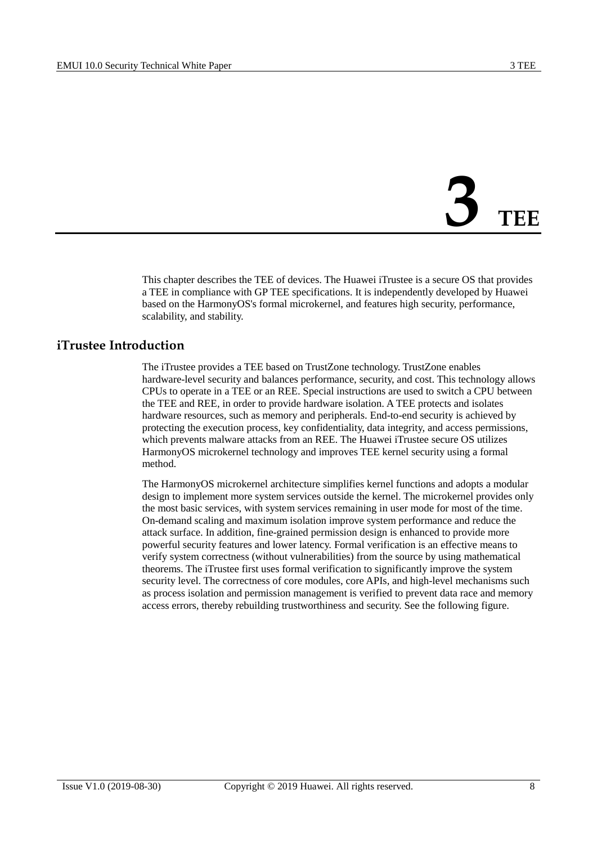# **3 TEE**

<span id="page-12-0"></span>This chapter describes the TEE of devices. The Huawei iTrustee is a secure OS that provides a TEE in compliance with GP TEE specifications. It is independently developed by Huawei based on the HarmonyOS's formal microkernel, and features high security, performance, scalability, and stability.

#### <span id="page-12-1"></span>**iTrustee Introduction**

The iTrustee provides a TEE based on TrustZone technology. TrustZone enables hardware-level security and balances performance, security, and cost. This technology allows CPUs to operate in a TEE or an REE. Special instructions are used to switch a CPU between the TEE and REE, in order to provide hardware isolation. A TEE protects and isolates hardware resources, such as memory and peripherals. End-to-end security is achieved by protecting the execution process, key confidentiality, data integrity, and access permissions, which prevents malware attacks from an REE. The Huawei iTrustee secure OS utilizes HarmonyOS microkernel technology and improves TEE kernel security using a formal method.

The HarmonyOS microkernel architecture simplifies kernel functions and adopts a modular design to implement more system services outside the kernel. The microkernel provides only the most basic services, with system services remaining in user mode for most of the time. On-demand scaling and maximum isolation improve system performance and reduce the attack surface. In addition, fine-grained permission design is enhanced to provide more powerful security features and lower latency. Formal verification is an effective means to verify system correctness (without vulnerabilities) from the source by using mathematical theorems. The iTrustee first uses formal verification to significantly improve the system security level. The correctness of core modules, core APIs, and high-level mechanisms such as process isolation and permission management is verified to prevent data race and memory access errors, thereby rebuilding trustworthiness and security. See the following figure.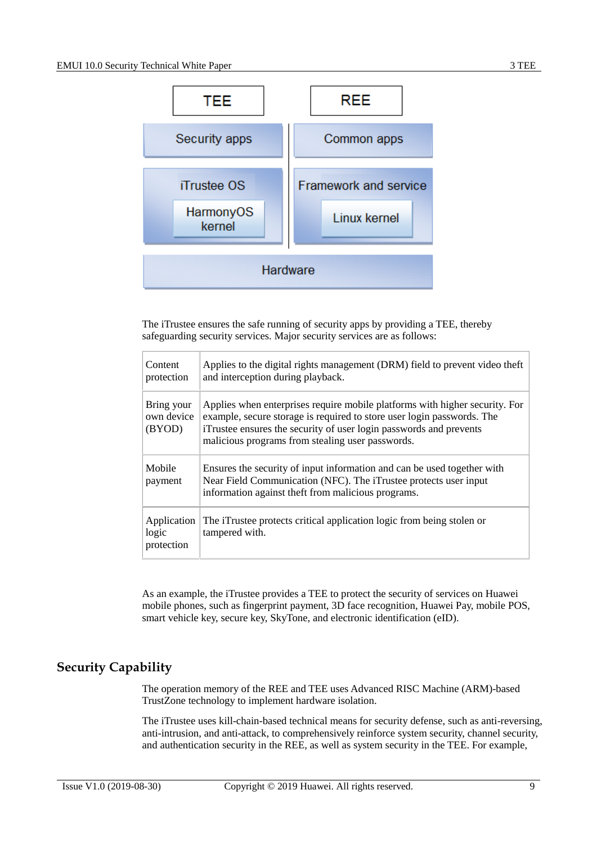

The iTrustee ensures the safe running of security apps by providing a TEE, thereby safeguarding security services. Major security services are as follows:

| Content<br>protection              | Applies to the digital rights management (DRM) field to prevent video theft<br>and interception during playback.                                                                                                                                                                |
|------------------------------------|---------------------------------------------------------------------------------------------------------------------------------------------------------------------------------------------------------------------------------------------------------------------------------|
| Bring your<br>own device<br>(BYOD) | Applies when enterprises require mobile platforms with higher security. For<br>example, secure storage is required to store user login passwords. The<br>iTrustee ensures the security of user login passwords and prevents<br>malicious programs from stealing user passwords. |
| Mobile<br>payment                  | Ensures the security of input information and can be used together with<br>Near Field Communication (NFC). The iTrustee protects user input<br>information against theft from malicious programs.                                                                               |
| Application<br>logic<br>protection | The iTrustee protects critical application logic from being stolen or<br>tampered with.                                                                                                                                                                                         |

As an example, the iTrustee provides a TEE to protect the security of services on Huawei mobile phones, such as fingerprint payment, 3D face recognition, Huawei Pay, mobile POS, smart vehicle key, secure key, SkyTone, and electronic identification (eID).

#### <span id="page-13-0"></span>**Security Capability**

The operation memory of the REE and TEE uses Advanced RISC Machine (ARM)-based TrustZone technology to implement hardware isolation.

The iTrustee uses kill-chain-based technical means for security defense, such as anti-reversing, anti-intrusion, and anti-attack, to comprehensively reinforce system security, channel security, and authentication security in the REE, as well as system security in the TEE. For example,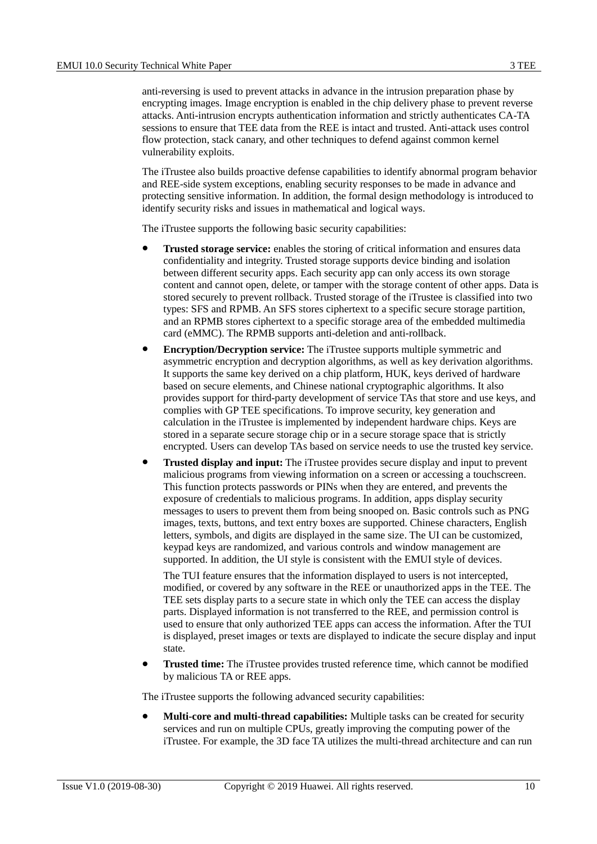anti-reversing is used to prevent attacks in advance in the intrusion preparation phase by encrypting images. Image encryption is enabled in the chip delivery phase to prevent reverse attacks. Anti-intrusion encrypts authentication information and strictly authenticates CA-TA sessions to ensure that TEE data from the REE is intact and trusted. Anti-attack uses control flow protection, stack canary, and other techniques to defend against common kernel vulnerability exploits.

The iTrustee also builds proactive defense capabilities to identify abnormal program behavior and REE-side system exceptions, enabling security responses to be made in advance and protecting sensitive information. In addition, the formal design methodology is introduced to identify security risks and issues in mathematical and logical ways.

The iTrustee supports the following basic security capabilities:

- **Trusted storage service:** enables the storing of critical information and ensures data confidentiality and integrity. Trusted storage supports device binding and isolation between different security apps. Each security app can only access its own storage content and cannot open, delete, or tamper with the storage content of other apps. Data is stored securely to prevent rollback. Trusted storage of the iTrustee is classified into two types: SFS and RPMB. An SFS stores ciphertext to a specific secure storage partition, and an RPMB stores ciphertext to a specific storage area of the embedded multimedia card (eMMC). The RPMB supports anti-deletion and anti-rollback.
- **Encryption/Decryption service:** The iTrustee supports multiple symmetric and asymmetric encryption and decryption algorithms, as well as key derivation algorithms. It supports the same key derived on a chip platform, HUK, keys derived of hardware based on secure elements, and Chinese national cryptographic algorithms. It also provides support for third-party development of service TAs that store and use keys, and complies with GP TEE specifications. To improve security, key generation and calculation in the iTrustee is implemented by independent hardware chips. Keys are stored in a separate secure storage chip or in a secure storage space that is strictly encrypted. Users can develop TAs based on service needs to use the trusted key service.
- **Trusted display and input:** The iTrustee provides secure display and input to prevent malicious programs from viewing information on a screen or accessing a touchscreen. This function protects passwords or PINs when they are entered, and prevents the exposure of credentials to malicious programs. In addition, apps display security messages to users to prevent them from being snooped on. Basic controls such as PNG images, texts, buttons, and text entry boxes are supported. Chinese characters, English letters, symbols, and digits are displayed in the same size. The UI can be customized, keypad keys are randomized, and various controls and window management are supported. In addition, the UI style is consistent with the EMUI style of devices.

The TUI feature ensures that the information displayed to users is not intercepted, modified, or covered by any software in the REE or unauthorized apps in the TEE. The TEE sets display parts to a secure state in which only the TEE can access the display parts. Displayed information is not transferred to the REE, and permission control is used to ensure that only authorized TEE apps can access the information. After the TUI is displayed, preset images or texts are displayed to indicate the secure display and input state.

 **Trusted time:** The iTrustee provides trusted reference time, which cannot be modified by malicious TA or REE apps.

The iTrustee supports the following advanced security capabilities:

 **Multi-core and multi-thread capabilities:** Multiple tasks can be created for security services and run on multiple CPUs, greatly improving the computing power of the iTrustee. For example, the 3D face TA utilizes the multi-thread architecture and can run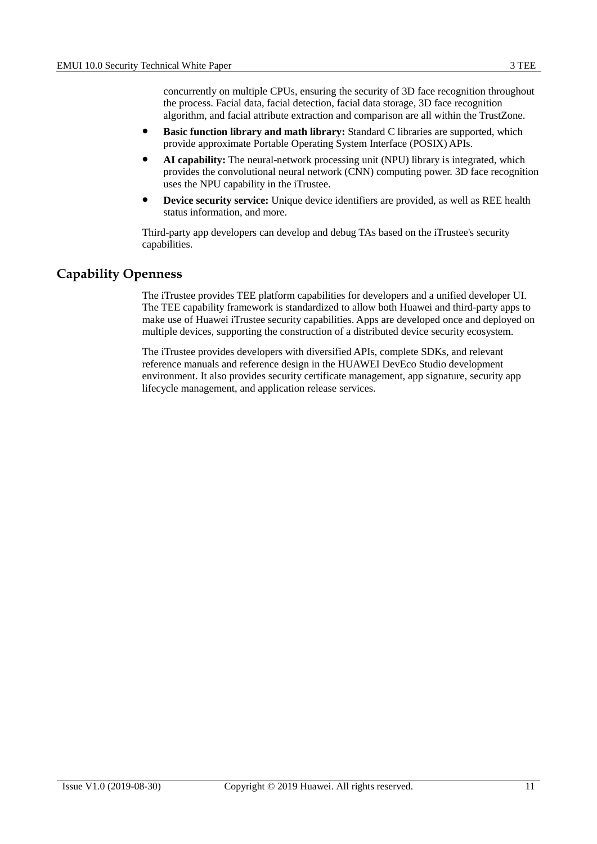concurrently on multiple CPUs, ensuring the security of 3D face recognition throughout the process. Facial data, facial detection, facial data storage, 3D face recognition algorithm, and facial attribute extraction and comparison are all within the TrustZone.

- **Basic function library and math library:** Standard C libraries are supported, which provide approximate Portable Operating System Interface (POSIX) APIs.
- **AI capability:** The neural-network processing unit (NPU) library is integrated, which provides the convolutional neural network (CNN) computing power. 3D face recognition uses the NPU capability in the iTrustee.
- **Device security service:** Unique device identifiers are provided, as well as REE health status information, and more.

Third-party app developers can develop and debug TAs based on the iTrustee's security capabilities.

#### <span id="page-15-0"></span>**Capability Openness**

The iTrustee provides TEE platform capabilities for developers and a unified developer UI. The TEE capability framework is standardized to allow both Huawei and third-party apps to make use of Huawei iTrustee security capabilities. Apps are developed once and deployed on multiple devices, supporting the construction of a distributed device security ecosystem.

The iTrustee provides developers with diversified APIs, complete SDKs, and relevant reference manuals and reference design in the HUAWEI DevEco Studio development environment. It also provides security certificate management, app signature, security app lifecycle management, and application release services.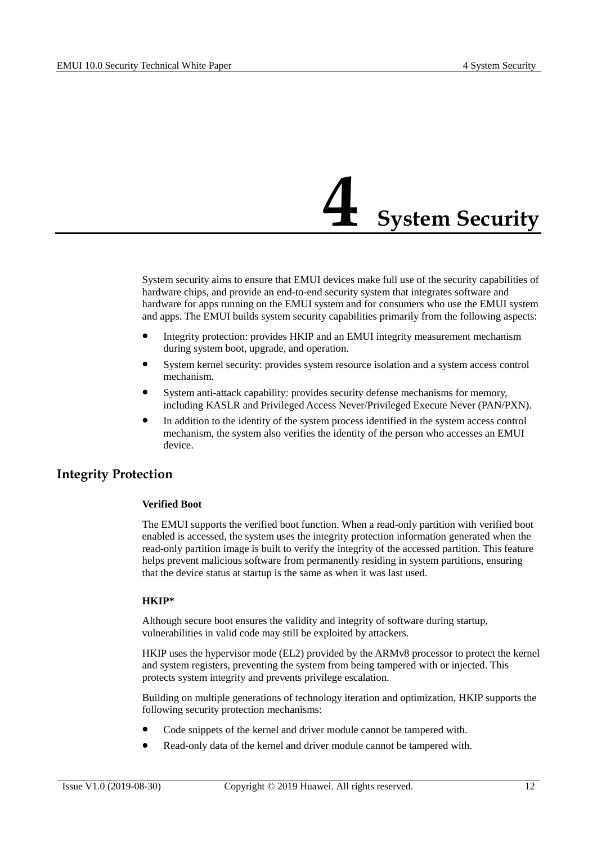### **4 System Security**

<span id="page-16-0"></span>System security aims to ensure that EMUI devices make full use of the security capabilities of hardware chips, and provide an end-to-end security system that integrates software and hardware for apps running on the EMUI system and for consumers who use the EMUI system and apps. The EMUI builds system security capabilities primarily from the following aspects:

- Integrity protection: provides HKIP and an EMUI integrity measurement mechanism during system boot, upgrade, and operation.
- System kernel security: provides system resource isolation and a system access control mechanism.
- System anti-attack capability: provides security defense mechanisms for memory, including KASLR and Privileged Access Never/Privileged Execute Never (PAN/PXN).
- In addition to the identity of the system process identified in the system access control mechanism, the system also verifies the identity of the person who accesses an EMUI device.

#### <span id="page-16-1"></span>**Integrity Protection**

#### **Verified Boot**

The EMUI supports the verified boot function. When a read-only partition with verified boot enabled is accessed, the system uses the integrity protection information generated when the read-only partition image is built to verify the integrity of the accessed partition. This feature helps prevent malicious software from permanently residing in system partitions, ensuring that the device status at startup is the same as when it was last used.

#### **HKIP\***

Although secure boot ensures the validity and integrity of software during startup, vulnerabilities in valid code may still be exploited by attackers.

HKIP uses the hypervisor mode (EL2) provided by the ARMv8 processor to protect the kernel and system registers, preventing the system from being tampered with or injected. This protects system integrity and prevents privilege escalation.

Building on multiple generations of technology iteration and optimization, HKIP supports the following security protection mechanisms:

- Code snippets of the kernel and driver module cannot be tampered with.
- Read-only data of the kernel and driver module cannot be tampered with.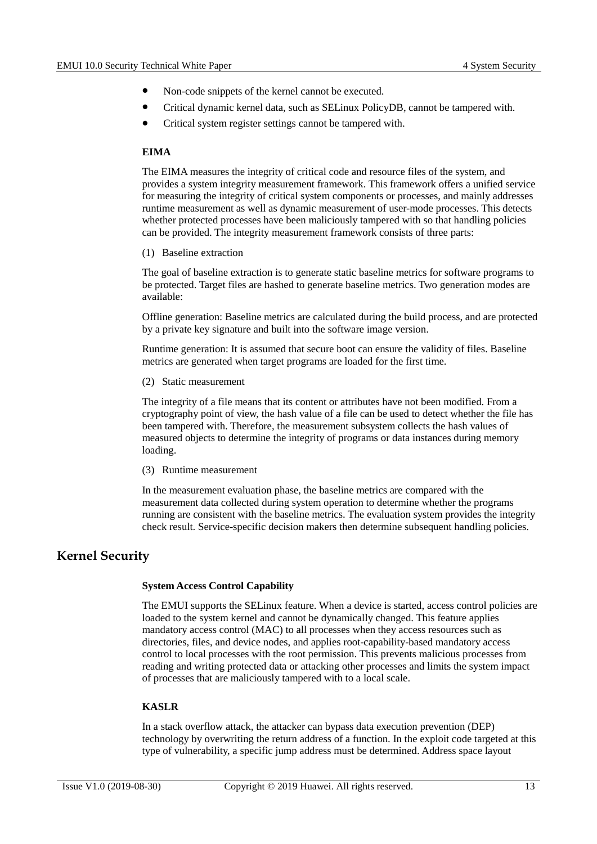- Non-code snippets of the kernel cannot be executed.
- Critical dynamic kernel data, such as SELinux PolicyDB, cannot be tampered with.
- Critical system register settings cannot be tampered with.

#### **EIMA**

The EIMA measures the integrity of critical code and resource files of the system, and provides a system integrity measurement framework. This framework offers a unified service for measuring the integrity of critical system components or processes, and mainly addresses runtime measurement as well as dynamic measurement of user-mode processes. This detects whether protected processes have been maliciously tampered with so that handling policies can be provided. The integrity measurement framework consists of three parts:

(1) Baseline extraction

The goal of baseline extraction is to generate static baseline metrics for software programs to be protected. Target files are hashed to generate baseline metrics. Two generation modes are available:

Offline generation: Baseline metrics are calculated during the build process, and are protected by a private key signature and built into the software image version.

Runtime generation: It is assumed that secure boot can ensure the validity of files. Baseline metrics are generated when target programs are loaded for the first time.

(2) Static measurement

The integrity of a file means that its content or attributes have not been modified. From a cryptography point of view, the hash value of a file can be used to detect whether the file has been tampered with. Therefore, the measurement subsystem collects the hash values of measured objects to determine the integrity of programs or data instances during memory loading.

(3) Runtime measurement

In the measurement evaluation phase, the baseline metrics are compared with the measurement data collected during system operation to determine whether the programs running are consistent with the baseline metrics. The evaluation system provides the integrity check result. Service-specific decision makers then determine subsequent handling policies.

#### <span id="page-17-0"></span>**Kernel Security**

#### **System Access Control Capability**

The EMUI supports the SELinux feature. When a device is started, access control policies are loaded to the system kernel and cannot be dynamically changed. This feature applies mandatory access control (MAC) to all processes when they access resources such as directories, files, and device nodes, and applies root-capability-based mandatory access control to local processes with the root permission. This prevents malicious processes from reading and writing protected data or attacking other processes and limits the system impact of processes that are maliciously tampered with to a local scale.

#### **KASLR**

In a stack overflow attack, the attacker can bypass data execution prevention (DEP) technology by overwriting the return address of a function. In the exploit code targeted at this type of vulnerability, a specific jump address must be determined. Address space layout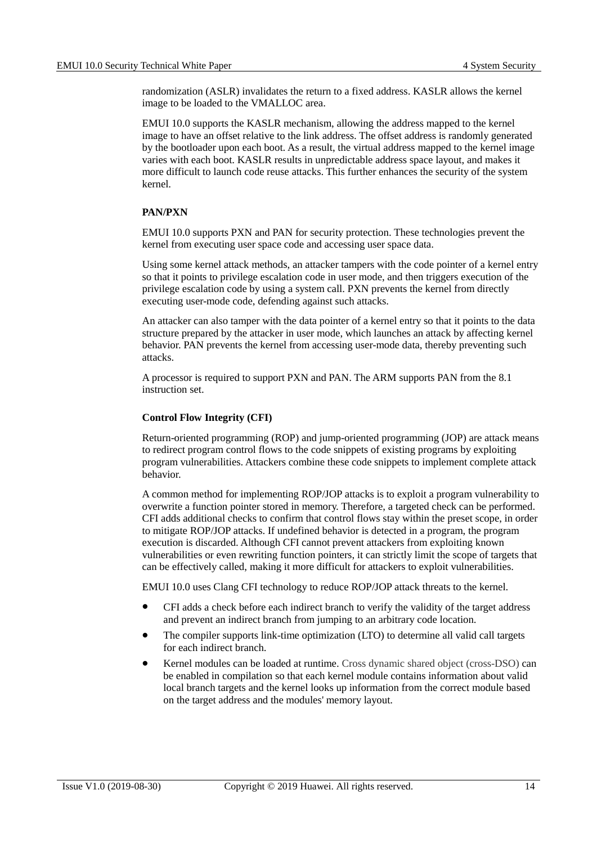randomization (ASLR) invalidates the return to a fixed address. KASLR allows the kernel image to be loaded to the VMALLOC area.

EMUI 10.0 supports the KASLR mechanism, allowing the address mapped to the kernel image to have an offset relative to the link address. The offset address is randomly generated by the bootloader upon each boot. As a result, the virtual address mapped to the kernel image varies with each boot. KASLR results in unpredictable address space layout, and makes it more difficult to launch code reuse attacks. This further enhances the security of the system kernel.

#### **PAN/PXN**

EMUI 10.0 supports PXN and PAN for security protection. These technologies prevent the kernel from executing user space code and accessing user space data.

Using some kernel attack methods, an attacker tampers with the code pointer of a kernel entry so that it points to privilege escalation code in user mode, and then triggers execution of the privilege escalation code by using a system call. PXN prevents the kernel from directly executing user-mode code, defending against such attacks.

An attacker can also tamper with the data pointer of a kernel entry so that it points to the data structure prepared by the attacker in user mode, which launches an attack by affecting kernel behavior. PAN prevents the kernel from accessing user-mode data, thereby preventing such attacks.

A processor is required to support PXN and PAN. The ARM supports PAN from the 8.1 instruction set.

#### **Control Flow Integrity (CFI)**

Return-oriented programming (ROP) and jump-oriented programming (JOP) are attack means to redirect program control flows to the code snippets of existing programs by exploiting program vulnerabilities. Attackers combine these code snippets to implement complete attack behavior.

A common method for implementing ROP/JOP attacks is to exploit a program vulnerability to overwrite a function pointer stored in memory. Therefore, a targeted check can be performed. CFI adds additional checks to confirm that control flows stay within the preset scope, in order to mitigate ROP/JOP attacks. If undefined behavior is detected in a program, the program execution is discarded. Although CFI cannot prevent attackers from exploiting known vulnerabilities or even rewriting function pointers, it can strictly limit the scope of targets that can be effectively called, making it more difficult for attackers to exploit vulnerabilities.

EMUI 10.0 uses Clang CFI technology to reduce ROP/JOP attack threats to the kernel.

- CFI adds a check before each indirect branch to verify the validity of the target address and prevent an indirect branch from jumping to an arbitrary code location.
- The compiler supports link-time optimization (LTO) to determine all valid call targets for each indirect branch.
- Kernel modules can be loaded at runtime. Cross dynamic shared object (cross-DSO) can be enabled in compilation so that each kernel module contains information about valid local branch targets and the kernel looks up information from the correct module based on the target address and the modules' memory layout.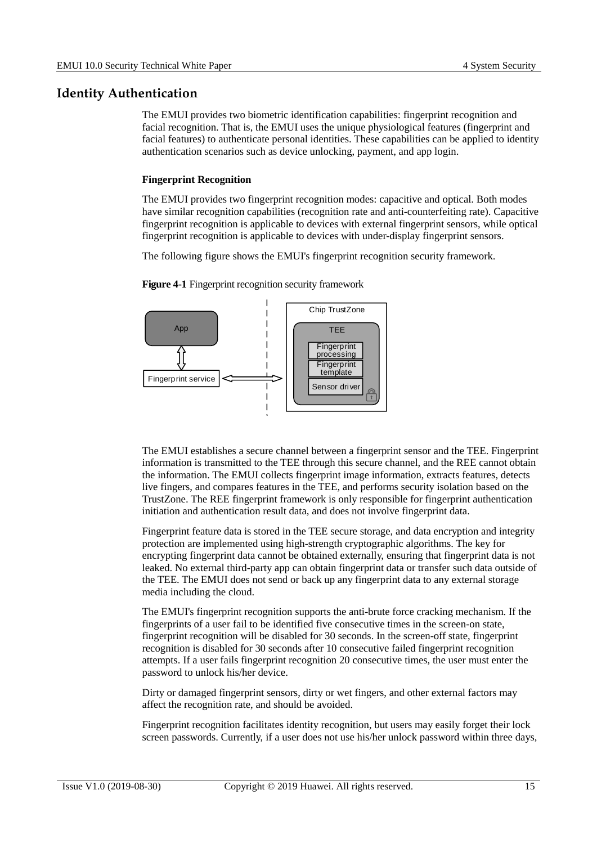#### <span id="page-19-0"></span>**Identity Authentication**

The EMUI provides two biometric identification capabilities: fingerprint recognition and facial recognition. That is, the EMUI uses the unique physiological features (fingerprint and facial features) to authenticate personal identities. These capabilities can be applied to identity authentication scenarios such as device unlocking, payment, and app login.

#### **Fingerprint Recognition**

The EMUI provides two fingerprint recognition modes: capacitive and optical. Both modes have similar recognition capabilities (recognition rate and anti-counterfeiting rate). Capacitive fingerprint recognition is applicable to devices with external fingerprint sensors, while optical fingerprint recognition is applicable to devices with under-display fingerprint sensors.

The following figure shows the EMUI's fingerprint recognition security framework.

<span id="page-19-1"></span>

**Figure 4-1** Fingerprint recognition security framework

The EMUI establishes a secure channel between a fingerprint sensor and the TEE. Fingerprint information is transmitted to the TEE through this secure channel, and the REE cannot obtain the information. The EMUI collects fingerprint image information, extracts features, detects live fingers, and compares features in the TEE, and performs security isolation based on the TrustZone. The REE fingerprint framework is only responsible for fingerprint authentication initiation and authentication result data, and does not involve fingerprint data.

Fingerprint feature data is stored in the TEE secure storage, and data encryption and integrity protection are implemented using high-strength cryptographic algorithms. The key for encrypting fingerprint data cannot be obtained externally, ensuring that fingerprint data is not leaked. No external third-party app can obtain fingerprint data or transfer such data outside of the TEE. The EMUI does not send or back up any fingerprint data to any external storage media including the cloud.

The EMUI's fingerprint recognition supports the anti-brute force cracking mechanism. If the fingerprints of a user fail to be identified five consecutive times in the screen-on state, fingerprint recognition will be disabled for 30 seconds. In the screen-off state, fingerprint recognition is disabled for 30 seconds after 10 consecutive failed fingerprint recognition attempts. If a user fails fingerprint recognition 20 consecutive times, the user must enter the password to unlock his/her device.

Dirty or damaged fingerprint sensors, dirty or wet fingers, and other external factors may affect the recognition rate, and should be avoided.

Fingerprint recognition facilitates identity recognition, but users may easily forget their lock screen passwords. Currently, if a user does not use his/her unlock password within three days,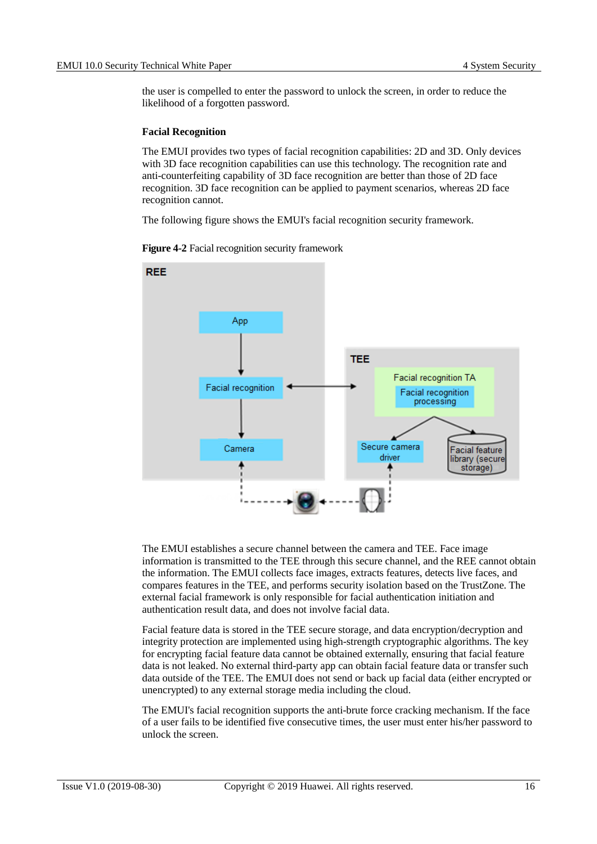the user is compelled to enter the password to unlock the screen, in order to reduce the likelihood of a forgotten password.

#### **Facial Recognition**

The EMUI provides two types of facial recognition capabilities: 2D and 3D. Only devices with 3D face recognition capabilities can use this technology. The recognition rate and anti-counterfeiting capability of 3D face recognition are better than those of 2D face recognition. 3D face recognition can be applied to payment scenarios, whereas 2D face recognition cannot.

The following figure shows the EMUI's facial recognition security framework.

<span id="page-20-0"></span>

**Figure 4-2** Facial recognition security framework

The EMUI establishes a secure channel between the camera and TEE. Face image information is transmitted to the TEE through this secure channel, and the REE cannot obtain the information. The EMUI collects face images, extracts features, detects live faces, and compares features in the TEE, and performs security isolation based on the TrustZone. The external facial framework is only responsible for facial authentication initiation and authentication result data, and does not involve facial data.

Facial feature data is stored in the TEE secure storage, and data encryption/decryption and integrity protection are implemented using high-strength cryptographic algorithms. The key for encrypting facial feature data cannot be obtained externally, ensuring that facial feature data is not leaked. No external third-party app can obtain facial feature data or transfer such data outside of the TEE. The EMUI does not send or back up facial data (either encrypted or unencrypted) to any external storage media including the cloud.

The EMUI's facial recognition supports the anti-brute force cracking mechanism. If the face of a user fails to be identified five consecutive times, the user must enter his/her password to unlock the screen.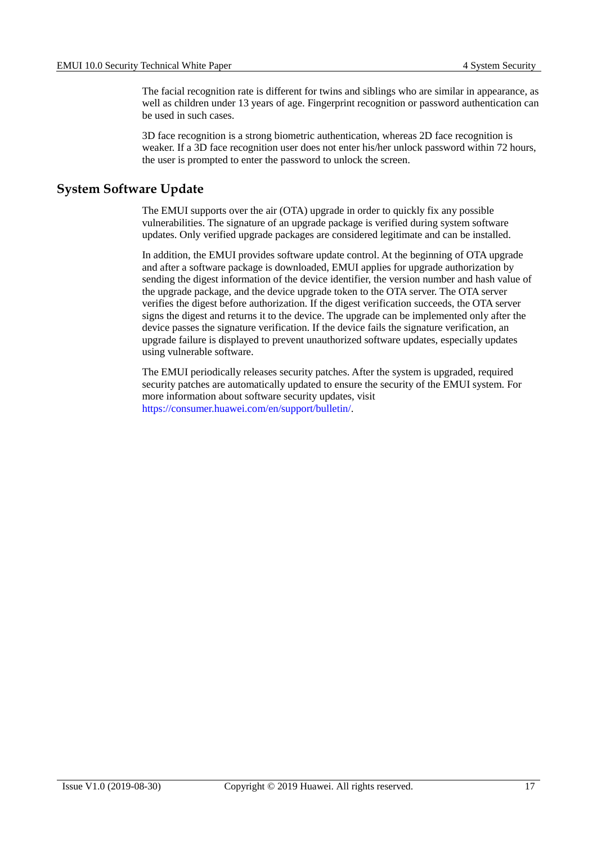The facial recognition rate is different for twins and siblings who are similar in appearance, as well as children under 13 years of age. Fingerprint recognition or password authentication can be used in such cases.

3D face recognition is a strong biometric authentication, whereas 2D face recognition is weaker. If a 3D face recognition user does not enter his/her unlock password within 72 hours, the user is prompted to enter the password to unlock the screen.

#### <span id="page-21-0"></span>**System Software Update**

The EMUI supports over the air (OTA) upgrade in order to quickly fix any possible vulnerabilities. The signature of an upgrade package is verified during system software updates. Only verified upgrade packages are considered legitimate and can be installed.

In addition, the EMUI provides software update control. At the beginning of OTA upgrade and after a software package is downloaded, EMUI applies for upgrade authorization by sending the digest information of the device identifier, the version number and hash value of the upgrade package, and the device upgrade token to the OTA server. The OTA server verifies the digest before authorization. If the digest verification succeeds, the OTA server signs the digest and returns it to the device. The upgrade can be implemented only after the device passes the signature verification. If the device fails the signature verification, an upgrade failure is displayed to prevent unauthorized software updates, especially updates using vulnerable software.

The EMUI periodically releases security patches. After the system is upgraded, required security patches are automatically updated to ensure the security of the EMUI system. For more information about software security updates, visit [https://consumer.huawei.com/en/support/bulletin/.](https://consumer.huawei.com/en/support/bulletin/)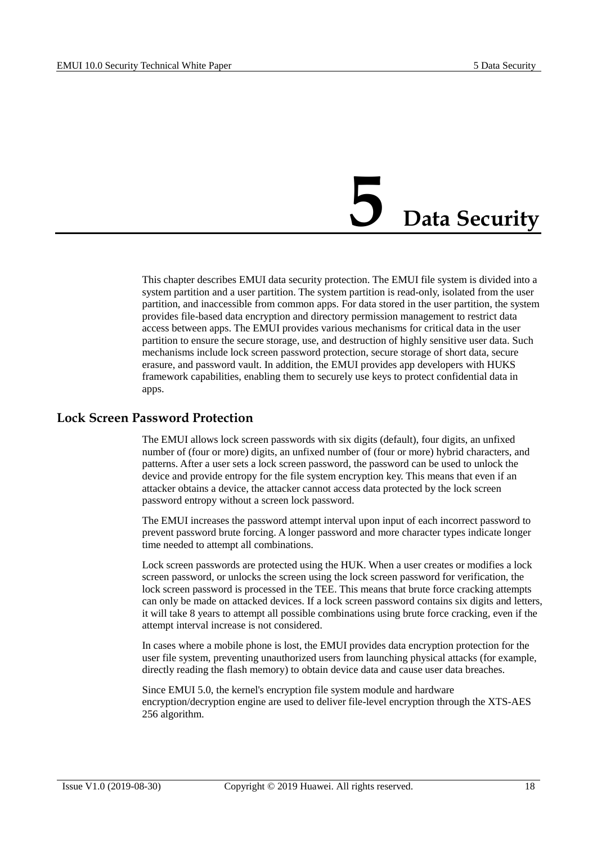### **5 Data Security**

<span id="page-22-0"></span>This chapter describes EMUI data security protection. The EMUI file system is divided into a system partition and a user partition. The system partition is read-only, isolated from the user partition, and inaccessible from common apps. For data stored in the user partition, the system provides file-based data encryption and directory permission management to restrict data access between apps. The EMUI provides various mechanisms for critical data in the user partition to ensure the secure storage, use, and destruction of highly sensitive user data. Such mechanisms include lock screen password protection, secure storage of short data, secure erasure, and password vault. In addition, the EMUI provides app developers with HUKS framework capabilities, enabling them to securely use keys to protect confidential data in apps.

#### <span id="page-22-1"></span>**Lock Screen Password Protection**

The EMUI allows lock screen passwords with six digits (default), four digits, an unfixed number of (four or more) digits, an unfixed number of (four or more) hybrid characters, and patterns. After a user sets a lock screen password, the password can be used to unlock the device and provide entropy for the file system encryption key. This means that even if an attacker obtains a device, the attacker cannot access data protected by the lock screen password entropy without a screen lock password.

The EMUI increases the password attempt interval upon input of each incorrect password to prevent password brute forcing. A longer password and more character types indicate longer time needed to attempt all combinations.

Lock screen passwords are protected using the HUK. When a user creates or modifies a lock screen password, or unlocks the screen using the lock screen password for verification, the lock screen password is processed in the TEE. This means that brute force cracking attempts can only be made on attacked devices. If a lock screen password contains six digits and letters, it will take 8 years to attempt all possible combinations using brute force cracking, even if the attempt interval increase is not considered.

In cases where a mobile phone is lost, the EMUI provides data encryption protection for the user file system, preventing unauthorized users from launching physical attacks (for example, directly reading the flash memory) to obtain device data and cause user data breaches.

Since EMUI 5.0, the kernel's encryption file system module and hardware encryption/decryption engine are used to deliver file-level encryption through the XTS-AES 256 algorithm.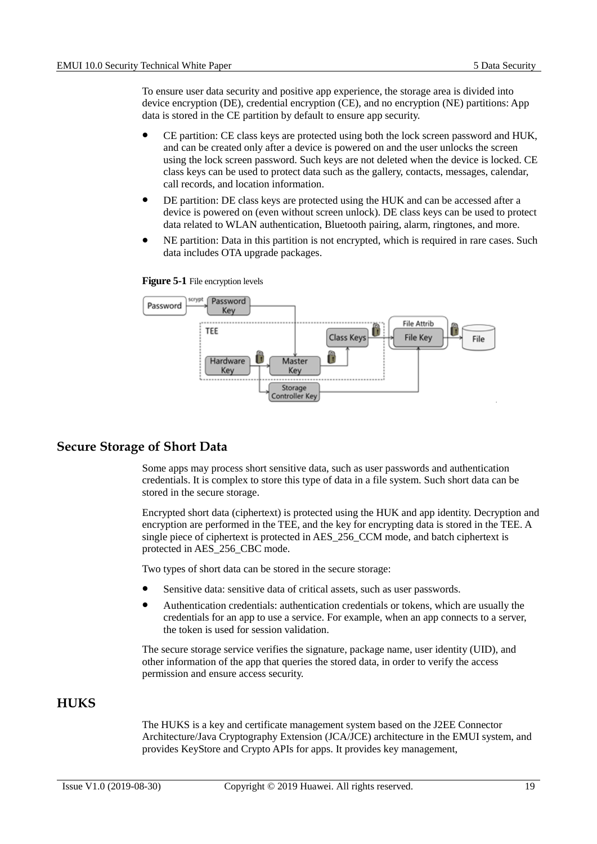To ensure user data security and positive app experience, the storage area is divided into device encryption (DE), credential encryption (CE), and no encryption (NE) partitions: App data is stored in the CE partition by default to ensure app security.

- CE partition: CE class keys are protected using both the lock screen password and HUK, and can be created only after a device is powered on and the user unlocks the screen using the lock screen password. Such keys are not deleted when the device is locked. CE class keys can be used to protect data such as the gallery, contacts, messages, calendar, call records, and location information.
- DE partition: DE class keys are protected using the HUK and can be accessed after a device is powered on (even without screen unlock). DE class keys can be used to protect data related to WLAN authentication, Bluetooth pairing, alarm, ringtones, and more.
- NE partition: Data in this partition is not encrypted, which is required in rare cases. Such data includes OTA upgrade packages.



<span id="page-23-2"></span>

#### <span id="page-23-0"></span>**Secure Storage of Short Data**

Some apps may process short sensitive data, such as user passwords and authentication credentials. It is complex to store this type of data in a file system. Such short data can be stored in the secure storage.

Encrypted short data (ciphertext) is protected using the HUK and app identity. Decryption and encryption are performed in the TEE, and the key for encrypting data is stored in the TEE. A single piece of ciphertext is protected in AES\_256\_CCM mode, and batch ciphertext is protected in AES\_256\_CBC mode.

Two types of short data can be stored in the secure storage:

- Sensitive data: sensitive data of critical assets, such as user passwords.
- Authentication credentials: authentication credentials or tokens, which are usually the credentials for an app to use a service. For example, when an app connects to a server, the token is used for session validation.

The secure storage service verifies the signature, package name, user identity (UID), and other information of the app that queries the stored data, in order to verify the access permission and ensure access security.

#### <span id="page-23-1"></span>**HUKS**

The HUKS is a key and certificate management system based on the J2EE Connector Architecture/Java Cryptography Extension (JCA/JCE) architecture in the EMUI system, and provides KeyStore and Crypto APIs for apps. It provides key management,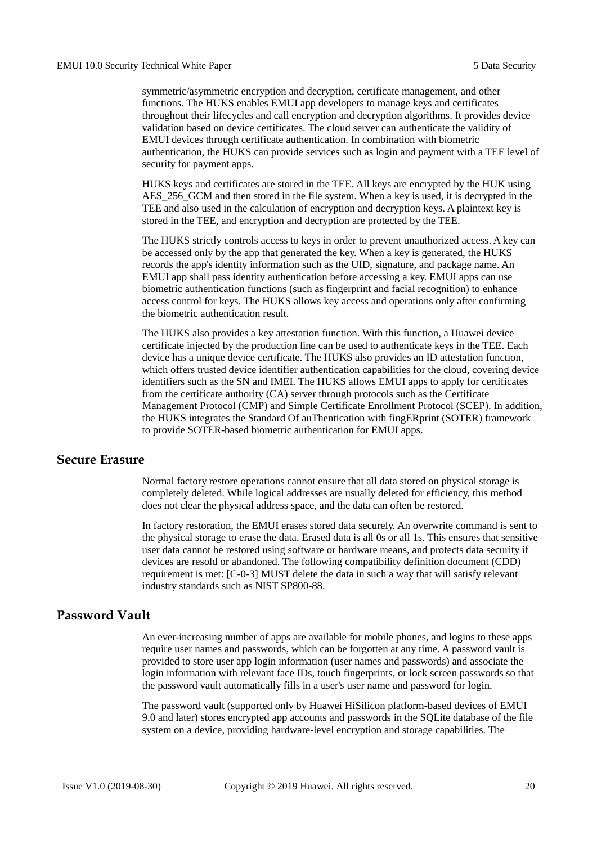symmetric/asymmetric encryption and decryption, certificate management, and other functions. The HUKS enables EMUI app developers to manage keys and certificates throughout their lifecycles and call encryption and decryption algorithms. It provides device validation based on device certificates. The cloud server can authenticate the validity of EMUI devices through certificate authentication. In combination with biometric authentication, the HUKS can provide services such as login and payment with a TEE level of security for payment apps.

HUKS keys and certificates are stored in the TEE. All keys are encrypted by the HUK using AES 256 GCM and then stored in the file system. When a key is used, it is decrypted in the TEE and also used in the calculation of encryption and decryption keys. A plaintext key is stored in the TEE, and encryption and decryption are protected by the TEE.

The HUKS strictly controls access to keys in order to prevent unauthorized access. A key can be accessed only by the app that generated the key. When a key is generated, the HUKS records the app's identity information such as the UID, signature, and package name. An EMUI app shall pass identity authentication before accessing a key. EMUI apps can use biometric authentication functions (such as fingerprint and facial recognition) to enhance access control for keys. The HUKS allows key access and operations only after confirming the biometric authentication result.

The HUKS also provides a key attestation function. With this function, a Huawei device certificate injected by the production line can be used to authenticate keys in the TEE. Each device has a unique device certificate. The HUKS also provides an ID attestation function, which offers trusted device identifier authentication capabilities for the cloud, covering device identifiers such as the SN and IMEI. The HUKS allows EMUI apps to apply for certificates from the certificate authority (CA) server through protocols such as the Certificate Management Protocol (CMP) and Simple Certificate Enrollment Protocol (SCEP). In addition, the HUKS integrates the Standard Of auThentication with fingERprint (SOTER) framework to provide SOTER-based biometric authentication for EMUI apps.

#### <span id="page-24-0"></span>**Secure Erasure**

Normal factory restore operations cannot ensure that all data stored on physical storage is completely deleted. While logical addresses are usually deleted for efficiency, this method does not clear the physical address space, and the data can often be restored.

In factory restoration, the EMUI erases stored data securely. An overwrite command is sent to the physical storage to erase the data. Erased data is all 0s or all 1s. This ensures that sensitive user data cannot be restored using software or hardware means, and protects data security if devices are resold or abandoned. The following compatibility definition document (CDD) requirement is met: [C-0-3] MUST delete the data in such a way that will satisfy relevant industry standards such as NIST SP800-88.

#### <span id="page-24-1"></span>**Password Vault**

An ever-increasing number of apps are available for mobile phones, and logins to these apps require user names and passwords, which can be forgotten at any time. A password vault is provided to store user app login information (user names and passwords) and associate the login information with relevant face IDs, touch fingerprints, or lock screen passwords so that the password vault automatically fills in a user's user name and password for login.

The password vault (supported only by Huawei HiSilicon platform-based devices of EMUI 9.0 and later) stores encrypted app accounts and passwords in the SQLite database of the file system on a device, providing hardware-level encryption and storage capabilities. The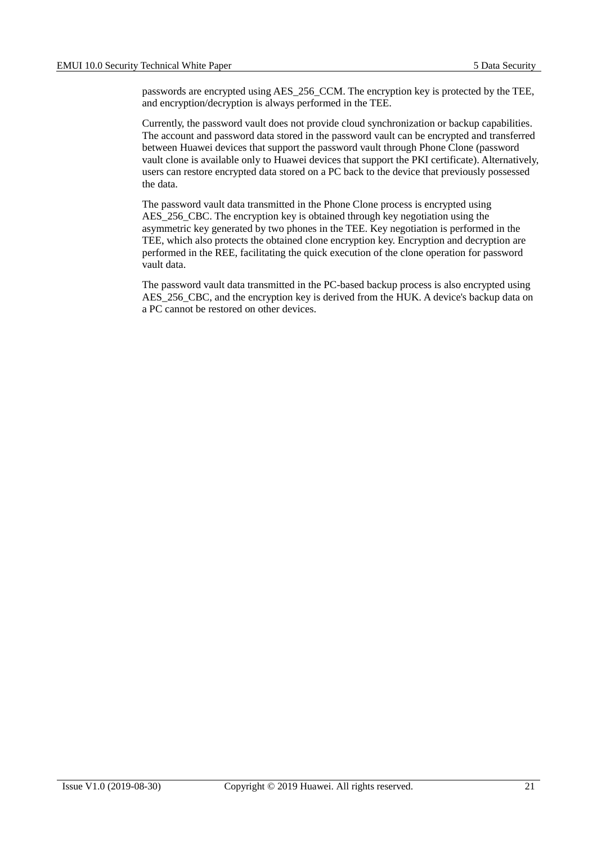passwords are encrypted using AES\_256\_CCM. The encryption key is protected by the TEE, and encryption/decryption is always performed in the TEE.

Currently, the password vault does not provide cloud synchronization or backup capabilities. The account and password data stored in the password vault can be encrypted and transferred between Huawei devices that support the password vault through Phone Clone (password vault clone is available only to Huawei devices that support the PKI certificate). Alternatively, users can restore encrypted data stored on a PC back to the device that previously possessed the data.

The password vault data transmitted in the Phone Clone process is encrypted using AES 256 CBC. The encryption key is obtained through key negotiation using the asymmetric key generated by two phones in the TEE. Key negotiation is performed in the TEE, which also protects the obtained clone encryption key. Encryption and decryption are performed in the REE, facilitating the quick execution of the clone operation for password vault data.

The password vault data transmitted in the PC-based backup process is also encrypted using AES\_256\_CBC, and the encryption key is derived from the HUK. A device's backup data on a PC cannot be restored on other devices.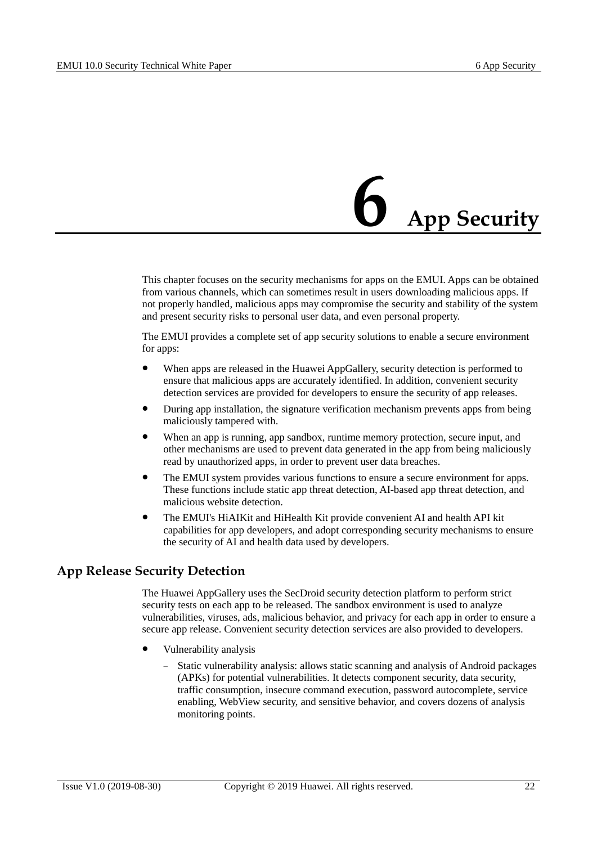## **6 App Security**

<span id="page-26-0"></span>This chapter focuses on the security mechanisms for apps on the EMUI. Apps can be obtained from various channels, which can sometimes result in users downloading malicious apps. If not properly handled, malicious apps may compromise the security and stability of the system and present security risks to personal user data, and even personal property.

The EMUI provides a complete set of app security solutions to enable a secure environment for apps:

- When apps are released in the Huawei AppGallery, security detection is performed to ensure that malicious apps are accurately identified. In addition, convenient security detection services are provided for developers to ensure the security of app releases.
- During app installation, the signature verification mechanism prevents apps from being maliciously tampered with.
- When an app is running, app sandbox, runtime memory protection, secure input, and other mechanisms are used to prevent data generated in the app from being maliciously read by unauthorized apps, in order to prevent user data breaches.
- The EMUI system provides various functions to ensure a secure environment for apps. These functions include static app threat detection, AI-based app threat detection, and malicious website detection.
- The EMUI's HiAIKit and HiHealth Kit provide convenient AI and health API kit capabilities for app developers, and adopt corresponding security mechanisms to ensure the security of AI and health data used by developers.

#### <span id="page-26-1"></span>**App Release Security Detection**

The Huawei AppGallery uses the SecDroid security detection platform to perform strict security tests on each app to be released. The sandbox environment is used to analyze vulnerabilities, viruses, ads, malicious behavior, and privacy for each app in order to ensure a secure app release. Convenient security detection services are also provided to developers.

- Vulnerability analysis
	- Static vulnerability analysis: allows static scanning and analysis of Android packages (APKs) for potential vulnerabilities. It detects component security, data security, traffic consumption, insecure command execution, password autocomplete, service enabling, WebView security, and sensitive behavior, and covers dozens of analysis monitoring points.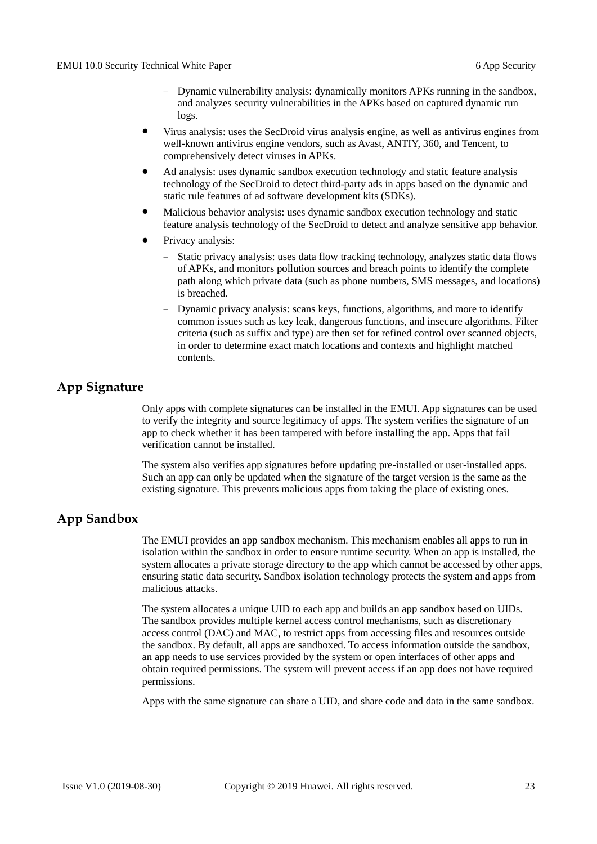- − Dynamic vulnerability analysis: dynamically monitors APKs running in the sandbox, and analyzes security vulnerabilities in the APKs based on captured dynamic run logs.
- Virus analysis: uses the SecDroid virus analysis engine, as well as antivirus engines from well-known antivirus engine vendors, such as Avast, ANTIY, 360, and Tencent, to comprehensively detect viruses in APKs.
- Ad analysis: uses dynamic sandbox execution technology and static feature analysis technology of the SecDroid to detect third-party ads in apps based on the dynamic and static rule features of ad software development kits (SDKs).
- Malicious behavior analysis: uses dynamic sandbox execution technology and static feature analysis technology of the SecDroid to detect and analyze sensitive app behavior.
- Privacy analysis:
	- Static privacy analysis: uses data flow tracking technology, analyzes static data flows of APKs, and monitors pollution sources and breach points to identify the complete path along which private data (such as phone numbers, SMS messages, and locations) is breached.
	- Dynamic privacy analysis: scans keys, functions, algorithms, and more to identify common issues such as key leak, dangerous functions, and insecure algorithms. Filter criteria (such as suffix and type) are then set for refined control over scanned objects, in order to determine exact match locations and contexts and highlight matched contents.

#### <span id="page-27-0"></span>**App Signature**

Only apps with complete signatures can be installed in the EMUI. App signatures can be used to verify the integrity and source legitimacy of apps. The system verifies the signature of an app to check whether it has been tampered with before installing the app. Apps that fail verification cannot be installed.

The system also verifies app signatures before updating pre-installed or user-installed apps. Such an app can only be updated when the signature of the target version is the same as the existing signature. This prevents malicious apps from taking the place of existing ones.

#### <span id="page-27-1"></span>**App Sandbox**

The EMUI provides an app sandbox mechanism. This mechanism enables all apps to run in isolation within the sandbox in order to ensure runtime security. When an app is installed, the system allocates a private storage directory to the app which cannot be accessed by other apps, ensuring static data security. Sandbox isolation technology protects the system and apps from malicious attacks.

The system allocates a unique UID to each app and builds an app sandbox based on UIDs. The sandbox provides multiple kernel access control mechanisms, such as discretionary access control (DAC) and MAC, to restrict apps from accessing files and resources outside the sandbox. By default, all apps are sandboxed. To access information outside the sandbox, an app needs to use services provided by the system or open interfaces of other apps and obtain required permissions. The system will prevent access if an app does not have required permissions.

Apps with the same signature can share a UID, and share code and data in the same sandbox.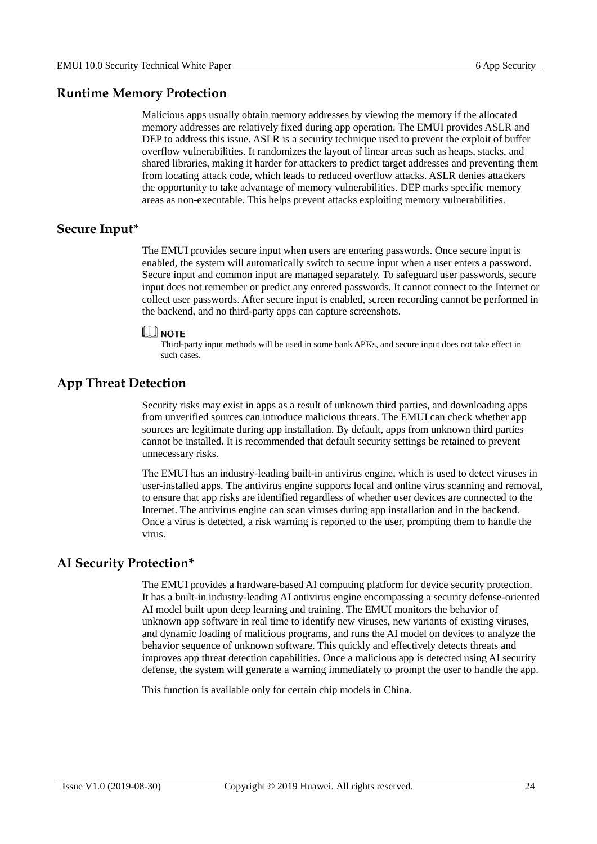#### <span id="page-28-0"></span>**Runtime Memory Protection**

Malicious apps usually obtain memory addresses by viewing the memory if the allocated memory addresses are relatively fixed during app operation. The EMUI provides ASLR and DEP to address this issue. ASLR is a security technique used to prevent the exploit of buffer overflow vulnerabilities. It randomizes the layout of linear areas such as heaps, stacks, and shared libraries, making it harder for attackers to predict target addresses and preventing them from locating attack code, which leads to reduced overflow attacks. ASLR denies attackers the opportunity to take advantage of memory vulnerabilities. DEP marks specific memory areas as non-executable. This helps prevent attacks exploiting memory vulnerabilities.

#### <span id="page-28-1"></span>**Secure Input\***

The EMUI provides secure input when users are entering passwords. Once secure input is enabled, the system will automatically switch to secure input when a user enters a password. Secure input and common input are managed separately. To safeguard user passwords, secure input does not remember or predict any entered passwords. It cannot connect to the Internet or collect user passwords. After secure input is enabled, screen recording cannot be performed in the backend, and no third-party apps can capture screenshots.



Third-party input methods will be used in some bank APKs, and secure input does not take effect in such cases.

#### <span id="page-28-2"></span>**App Threat Detection**

Security risks may exist in apps as a result of unknown third parties, and downloading apps from unverified sources can introduce malicious threats. The EMUI can check whether app sources are legitimate during app installation. By default, apps from unknown third parties cannot be installed. It is recommended that default security settings be retained to prevent unnecessary risks.

The EMUI has an industry-leading built-in antivirus engine, which is used to detect viruses in user-installed apps. The antivirus engine supports local and online virus scanning and removal, to ensure that app risks are identified regardless of whether user devices are connected to the Internet. The antivirus engine can scan viruses during app installation and in the backend. Once a virus is detected, a risk warning is reported to the user, prompting them to handle the virus.

#### <span id="page-28-3"></span>**AI Security Protection\***

The EMUI provides a hardware-based AI computing platform for device security protection. It has a built-in industry-leading AI antivirus engine encompassing a security defense-oriented AI model built upon deep learning and training. The EMUI monitors the behavior of unknown app software in real time to identify new viruses, new variants of existing viruses, and dynamic loading of malicious programs, and runs the AI model on devices to analyze the behavior sequence of unknown software. This quickly and effectively detects threats and improves app threat detection capabilities. Once a malicious app is detected using AI security defense, the system will generate a warning immediately to prompt the user to handle the app.

This function is available only for certain chip models in China.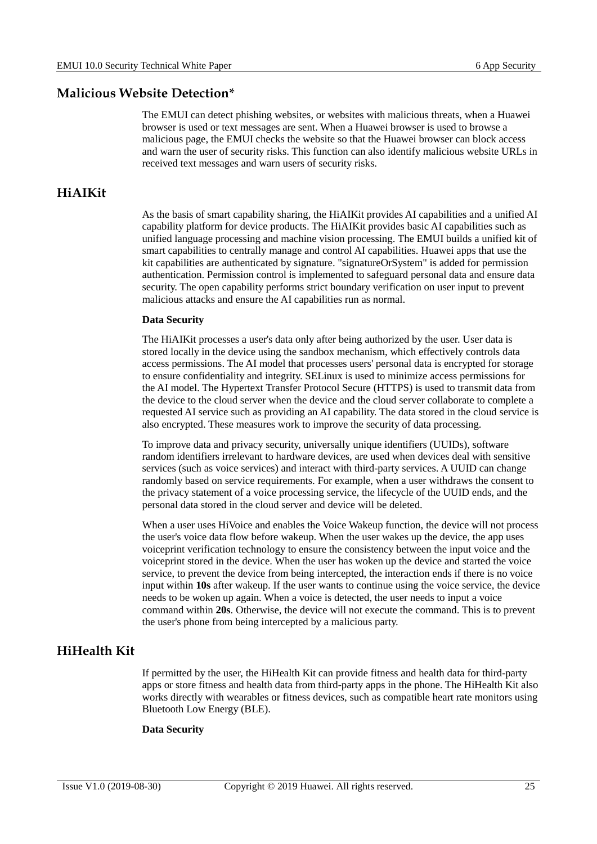#### <span id="page-29-0"></span>**Malicious Website Detection\***

The EMUI can detect phishing websites, or websites with malicious threats, when a Huawei browser is used or text messages are sent. When a Huawei browser is used to browse a malicious page, the EMUI checks the website so that the Huawei browser can block access and warn the user of security risks. This function can also identify malicious website URLs in received text messages and warn users of security risks.

#### <span id="page-29-1"></span>**HiAIKit**

As the basis of smart capability sharing, the HiAIKit provides AI capabilities and a unified AI capability platform for device products. The HiAIKit provides basic AI capabilities such as unified language processing and machine vision processing. The EMUI builds a unified kit of smart capabilities to centrally manage and control AI capabilities. Huawei apps that use the kit capabilities are authenticated by signature. "signatureOrSystem" is added for permission authentication. Permission control is implemented to safeguard personal data and ensure data security. The open capability performs strict boundary verification on user input to prevent malicious attacks and ensure the AI capabilities run as normal.

#### **Data Security**

The HiAIKit processes a user's data only after being authorized by the user. User data is stored locally in the device using the sandbox mechanism, which effectively controls data access permissions. The AI model that processes users' personal data is encrypted for storage to ensure confidentiality and integrity. SELinux is used to minimize access permissions for the AI model. The Hypertext Transfer Protocol Secure (HTTPS) is used to transmit data from the device to the cloud server when the device and the cloud server collaborate to complete a requested AI service such as providing an AI capability. The data stored in the cloud service is also encrypted. These measures work to improve the security of data processing.

To improve data and privacy security, universally unique identifiers (UUIDs), software random identifiers irrelevant to hardware devices, are used when devices deal with sensitive services (such as voice services) and interact with third-party services. A UUID can change randomly based on service requirements. For example, when a user withdraws the consent to the privacy statement of a voice processing service, the lifecycle of the UUID ends, and the personal data stored in the cloud server and device will be deleted.

When a user uses HiVoice and enables the Voice Wakeup function, the device will not process the user's voice data flow before wakeup. When the user wakes up the device, the app uses voiceprint verification technology to ensure the consistency between the input voice and the voiceprint stored in the device. When the user has woken up the device and started the voice service, to prevent the device from being intercepted, the interaction ends if there is no voice input within **10s** after wakeup. If the user wants to continue using the voice service, the device needs to be woken up again. When a voice is detected, the user needs to input a voice command within **20s**. Otherwise, the device will not execute the command. This is to prevent the user's phone from being intercepted by a malicious party.

#### <span id="page-29-2"></span>**HiHealth Kit**

If permitted by the user, the HiHealth Kit can provide fitness and health data for third-party apps or store fitness and health data from third-party apps in the phone. The HiHealth Kit also works directly with wearables or fitness devices, such as compatible heart rate monitors using Bluetooth Low Energy (BLE).

#### **Data Security**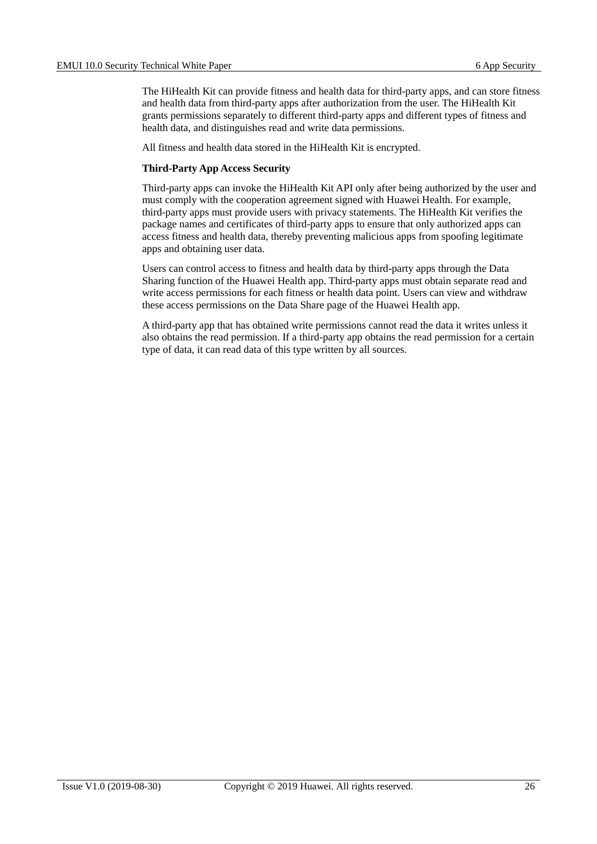The HiHealth Kit can provide fitness and health data for third-party apps, and can store fitness and health data from third-party apps after authorization from the user. The HiHealth Kit grants permissions separately to different third-party apps and different types of fitness and health data, and distinguishes read and write data permissions.

All fitness and health data stored in the HiHealth Kit is encrypted.

#### **Third-Party App Access Security**

Third-party apps can invoke the HiHealth Kit API only after being authorized by the user and must comply with the cooperation agreement signed with Huawei Health. For example, third-party apps must provide users with privacy statements. The HiHealth Kit verifies the package names and certificates of third-party apps to ensure that only authorized apps can access fitness and health data, thereby preventing malicious apps from spoofing legitimate apps and obtaining user data.

Users can control access to fitness and health data by third-party apps through the Data Sharing function of the Huawei Health app. Third-party apps must obtain separate read and write access permissions for each fitness or health data point. Users can view and withdraw these access permissions on the Data Share page of the Huawei Health app.

A third-party app that has obtained write permissions cannot read the data it writes unless it also obtains the read permission. If a third-party app obtains the read permission for a certain type of data, it can read data of this type written by all sources.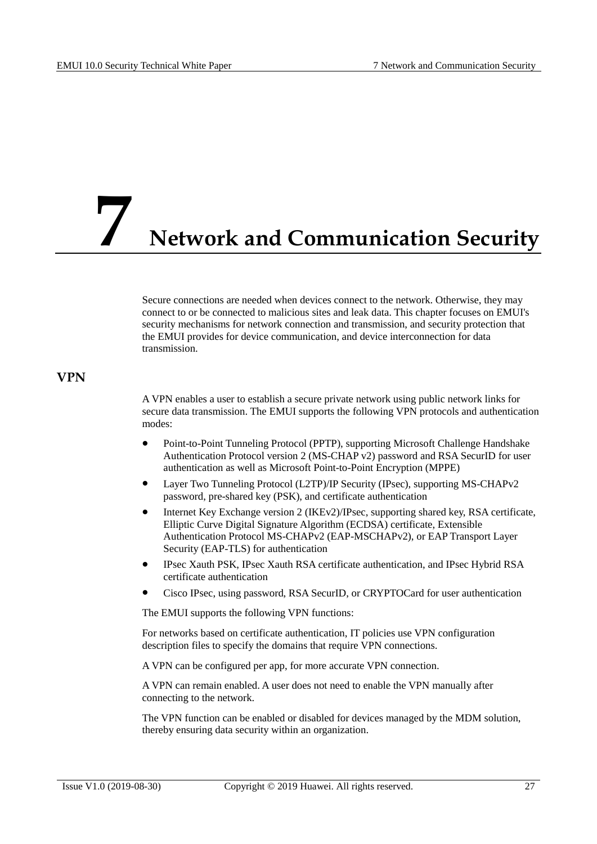### <span id="page-31-0"></span>**7 Network and Communication Security**

Secure connections are needed when devices connect to the network. Otherwise, they may connect to or be connected to malicious sites and leak data. This chapter focuses on EMUI's security mechanisms for network connection and transmission, and security protection that the EMUI provides for device communication, and device interconnection for data transmission.

#### <span id="page-31-1"></span>**VPN**

A VPN enables a user to establish a secure private network using public network links for secure data transmission. The EMUI supports the following VPN protocols and authentication modes:

- Point-to-Point Tunneling Protocol (PPTP), supporting Microsoft Challenge Handshake Authentication Protocol version 2 (MS-CHAP v2) password and RSA SecurID for user authentication as well as Microsoft Point-to-Point Encryption (MPPE)
- Layer Two Tunneling Protocol (L2TP)/IP Security (IPsec), supporting MS-CHAPv2 password, pre-shared key (PSK), and certificate authentication
- Internet Key Exchange version 2 (IKEv2)/IPsec, supporting shared key, RSA certificate, Elliptic Curve Digital Signature Algorithm (ECDSA) certificate, Extensible Authentication Protocol MS-CHAPv2 (EAP-MSCHAPv2), or EAP Transport Layer Security (EAP-TLS) for authentication
- IPsec Xauth PSK, IPsec Xauth RSA certificate authentication, and IPsec Hybrid RSA certificate authentication
- Cisco IPsec, using password, RSA SecurID, or CRYPTOCard for user authentication

The EMUI supports the following VPN functions:

For networks based on certificate authentication, IT policies use VPN configuration description files to specify the domains that require VPN connections.

A VPN can be configured per app, for more accurate VPN connection.

A VPN can remain enabled. A user does not need to enable the VPN manually after connecting to the network.

The VPN function can be enabled or disabled for devices managed by the MDM solution, thereby ensuring data security within an organization.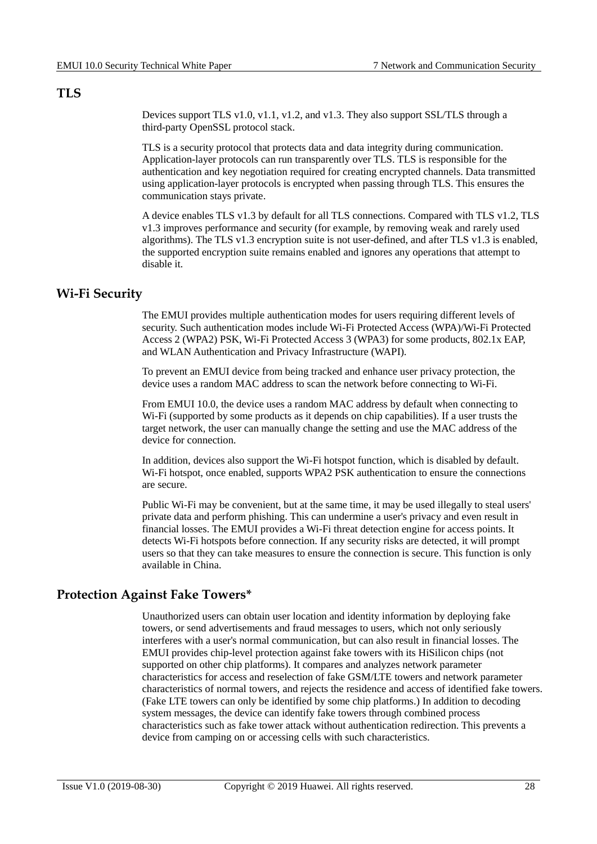#### <span id="page-32-0"></span>**TLS**

Devices support TLS v1.0, v1.1, v1.2, and v1.3. They also support SSL/TLS through a third-party OpenSSL protocol stack.

TLS is a security protocol that protects data and data integrity during communication. Application-layer protocols can run transparently over TLS. TLS is responsible for the authentication and key negotiation required for creating encrypted channels. Data transmitted using application-layer protocols is encrypted when passing through TLS. This ensures the communication stays private.

A device enables TLS v1.3 by default for all TLS connections. Compared with TLS v1.2, TLS v1.3 improves performance and security (for example, by removing weak and rarely used algorithms). The TLS v1.3 encryption suite is not user-defined, and after TLS v1.3 is enabled, the supported encryption suite remains enabled and ignores any operations that attempt to disable it.

#### <span id="page-32-1"></span>**Wi-Fi Security**

The EMUI provides multiple authentication modes for users requiring different levels of security. Such authentication modes include Wi-Fi Protected Access (WPA)/Wi-Fi Protected Access 2 (WPA2) PSK, Wi-Fi Protected Access 3 (WPA3) for some products, 802.1x EAP, and WLAN Authentication and Privacy Infrastructure (WAPI).

To prevent an EMUI device from being tracked and enhance user privacy protection, the device uses a random MAC address to scan the network before connecting to Wi-Fi.

From EMUI 10.0, the device uses a random MAC address by default when connecting to Wi-Fi (supported by some products as it depends on chip capabilities). If a user trusts the target network, the user can manually change the setting and use the MAC address of the device for connection.

In addition, devices also support the Wi-Fi hotspot function, which is disabled by default. Wi-Fi hotspot, once enabled, supports WPA2 PSK authentication to ensure the connections are secure.

Public Wi-Fi may be convenient, but at the same time, it may be used illegally to steal users' private data and perform phishing. This can undermine a user's privacy and even result in financial losses. The EMUI provides a Wi-Fi threat detection engine for access points. It detects Wi-Fi hotspots before connection. If any security risks are detected, it will prompt users so that they can take measures to ensure the connection is secure. This function is only available in China.

#### <span id="page-32-2"></span>**Protection Against Fake Towers\***

Unauthorized users can obtain user location and identity information by deploying fake towers, or send advertisements and fraud messages to users, which not only seriously interferes with a user's normal communication, but can also result in financial losses. The EMUI provides chip-level protection against fake towers with its HiSilicon chips (not supported on other chip platforms). It compares and analyzes network parameter characteristics for access and reselection of fake GSM/LTE towers and network parameter characteristics of normal towers, and rejects the residence and access of identified fake towers. (Fake LTE towers can only be identified by some chip platforms.) In addition to decoding system messages, the device can identify fake towers through combined process characteristics such as fake tower attack without authentication redirection. This prevents a device from camping on or accessing cells with such characteristics.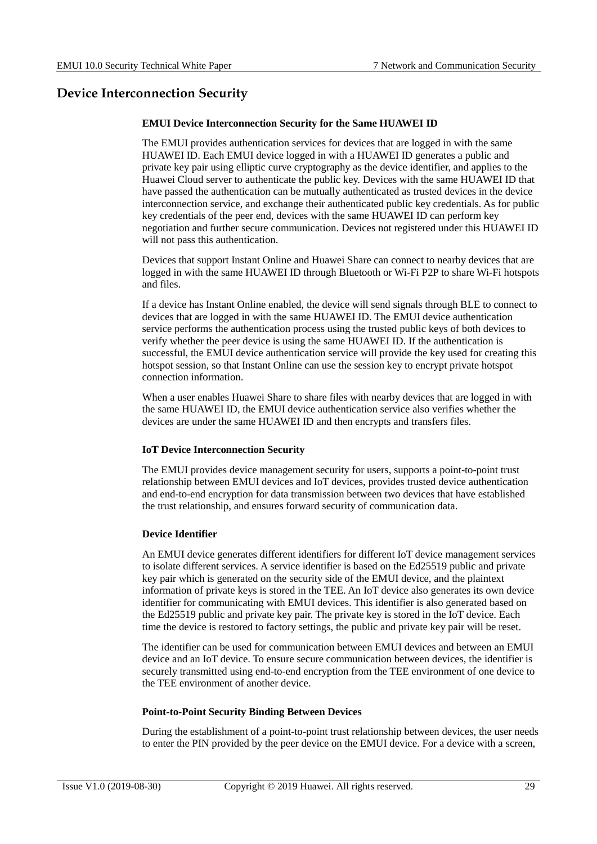#### <span id="page-33-0"></span>**Device Interconnection Security**

#### **EMUI Device Interconnection Security for the Same HUAWEI ID**

The EMUI provides authentication services for devices that are logged in with the same HUAWEI ID. Each EMUI device logged in with a HUAWEI ID generates a public and private key pair using elliptic curve cryptography as the device identifier, and applies to the Huawei Cloud server to authenticate the public key. Devices with the same HUAWEI ID that have passed the authentication can be mutually authenticated as trusted devices in the device interconnection service, and exchange their authenticated public key credentials. As for public key credentials of the peer end, devices with the same HUAWEI ID can perform key negotiation and further secure communication. Devices not registered under this HUAWEI ID will not pass this authentication.

Devices that support Instant Online and Huawei Share can connect to nearby devices that are logged in with the same HUAWEI ID through Bluetooth or Wi-Fi P2P to share Wi-Fi hotspots and files.

If a device has Instant Online enabled, the device will send signals through BLE to connect to devices that are logged in with the same HUAWEI ID. The EMUI device authentication service performs the authentication process using the trusted public keys of both devices to verify whether the peer device is using the same HUAWEI ID. If the authentication is successful, the EMUI device authentication service will provide the key used for creating this hotspot session, so that Instant Online can use the session key to encrypt private hotspot connection information.

When a user enables Huawei Share to share files with nearby devices that are logged in with the same HUAWEI ID, the EMUI device authentication service also verifies whether the devices are under the same HUAWEI ID and then encrypts and transfers files.

#### **IoT Device Interconnection Security**

The EMUI provides device management security for users, supports a point-to-point trust relationship between EMUI devices and IoT devices, provides trusted device authentication and end-to-end encryption for data transmission between two devices that have established the trust relationship, and ensures forward security of communication data.

#### **Device Identifier**

An EMUI device generates different identifiers for different IoT device management services to isolate different services. A service identifier is based on the Ed25519 public and private key pair which is generated on the security side of the EMUI device, and the plaintext information of private keys is stored in the TEE. An IoT device also generates its own device identifier for communicating with EMUI devices. This identifier is also generated based on the Ed25519 public and private key pair. The private key is stored in the IoT device. Each time the device is restored to factory settings, the public and private key pair will be reset.

The identifier can be used for communication between EMUI devices and between an EMUI device and an IoT device. To ensure secure communication between devices, the identifier is securely transmitted using end-to-end encryption from the TEE environment of one device to the TEE environment of another device.

#### **Point-to-Point Security Binding Between Devices**

During the establishment of a point-to-point trust relationship between devices, the user needs to enter the PIN provided by the peer device on the EMUI device. For a device with a screen,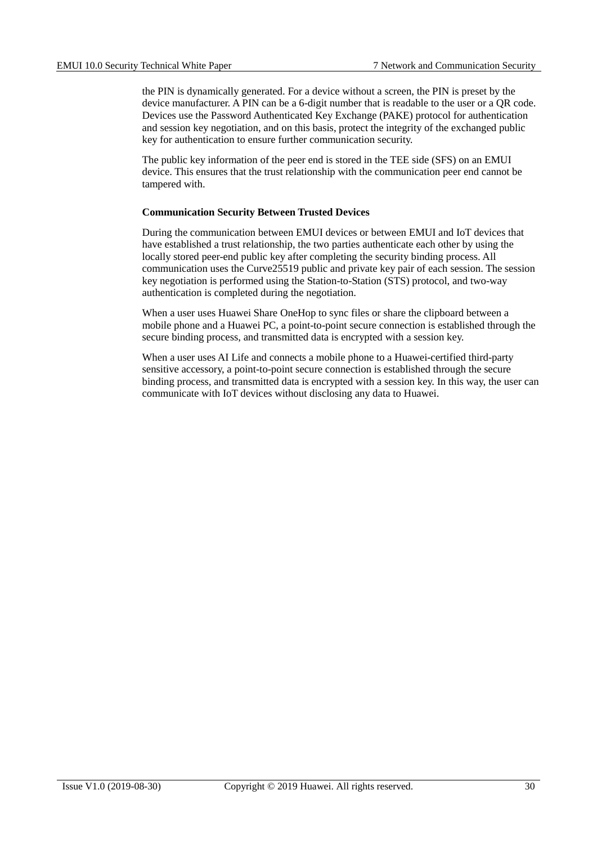the PIN is dynamically generated. For a device without a screen, the PIN is preset by the device manufacturer. A PIN can be a 6-digit number that is readable to the user or a QR code. Devices use the Password Authenticated Key Exchange (PAKE) protocol for authentication and session key negotiation, and on this basis, protect the integrity of the exchanged public key for authentication to ensure further communication security.

The public key information of the peer end is stored in the TEE side (SFS) on an EMUI device. This ensures that the trust relationship with the communication peer end cannot be tampered with.

#### **Communication Security Between Trusted Devices**

During the communication between EMUI devices or between EMUI and IoT devices that have established a trust relationship, the two parties authenticate each other by using the locally stored peer-end public key after completing the security binding process. All communication uses the Curve25519 public and private key pair of each session. The session key negotiation is performed using the Station-to-Station (STS) protocol, and two-way authentication is completed during the negotiation.

When a user uses Huawei Share OneHop to sync files or share the clipboard between a mobile phone and a Huawei PC, a point-to-point secure connection is established through the secure binding process, and transmitted data is encrypted with a session key.

When a user uses AI Life and connects a mobile phone to a Huawei-certified third-party sensitive accessory, a point-to-point secure connection is established through the secure binding process, and transmitted data is encrypted with a session key. In this way, the user can communicate with IoT devices without disclosing any data to Huawei.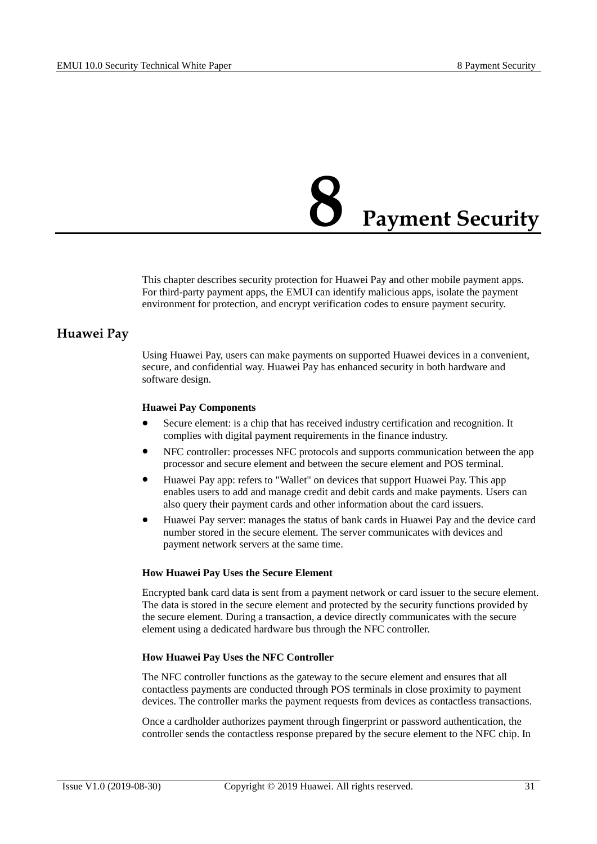## **8 Payment Security**

<span id="page-35-0"></span>This chapter describes security protection for Huawei Pay and other mobile payment apps. For third-party payment apps, the EMUI can identify malicious apps, isolate the payment environment for protection, and encrypt verification codes to ensure payment security.

#### <span id="page-35-1"></span>**Huawei Pay**

Using Huawei Pay, users can make payments on supported Huawei devices in a convenient, secure, and confidential way. Huawei Pay has enhanced security in both hardware and software design.

#### **Huawei Pay Components**

- Secure element: is a chip that has received industry certification and recognition. It complies with digital payment requirements in the finance industry.
- NFC controller: processes NFC protocols and supports communication between the app processor and secure element and between the secure element and POS terminal.
- Huawei Pay app: refers to "Wallet" on devices that support Huawei Pay. This app enables users to add and manage credit and debit cards and make payments. Users can also query their payment cards and other information about the card issuers.
- Huawei Pay server: manages the status of bank cards in Huawei Pay and the device card number stored in the secure element. The server communicates with devices and payment network servers at the same time.

#### **How Huawei Pay Uses the Secure Element**

Encrypted bank card data is sent from a payment network or card issuer to the secure element. The data is stored in the secure element and protected by the security functions provided by the secure element. During a transaction, a device directly communicates with the secure element using a dedicated hardware bus through the NFC controller.

#### **How Huawei Pay Uses the NFC Controller**

The NFC controller functions as the gateway to the secure element and ensures that all contactless payments are conducted through POS terminals in close proximity to payment devices. The controller marks the payment requests from devices as contactless transactions.

Once a cardholder authorizes payment through fingerprint or password authentication, the controller sends the contactless response prepared by the secure element to the NFC chip. In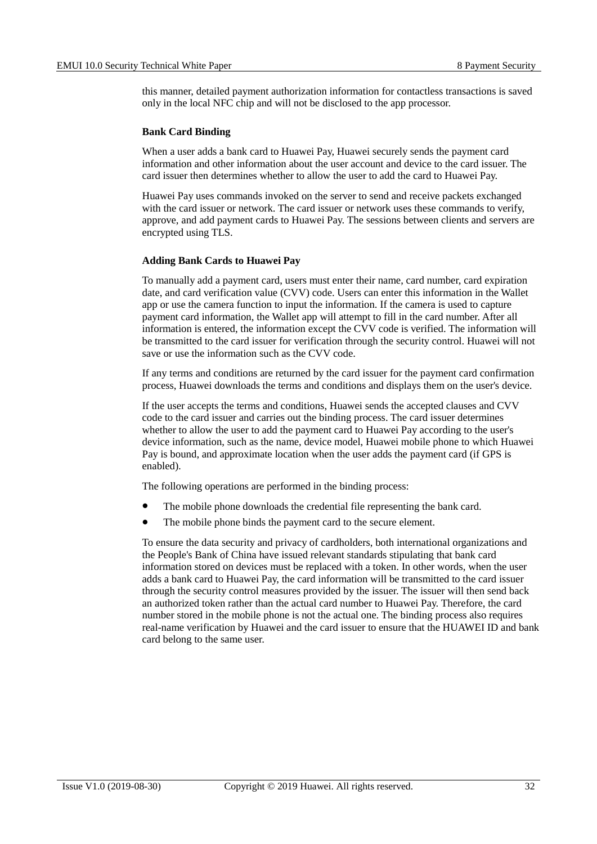this manner, detailed payment authorization information for contactless transactions is saved only in the local NFC chip and will not be disclosed to the app processor.

#### **Bank Card Binding**

When a user adds a bank card to Huawei Pay, Huawei securely sends the payment card information and other information about the user account and device to the card issuer. The card issuer then determines whether to allow the user to add the card to Huawei Pay.

Huawei Pay uses commands invoked on the server to send and receive packets exchanged with the card issuer or network. The card issuer or network uses these commands to verify, approve, and add payment cards to Huawei Pay. The sessions between clients and servers are encrypted using TLS.

#### **Adding Bank Cards to Huawei Pay**

To manually add a payment card, users must enter their name, card number, card expiration date, and card verification value (CVV) code. Users can enter this information in the Wallet app or use the camera function to input the information. If the camera is used to capture payment card information, the Wallet app will attempt to fill in the card number. After all information is entered, the information except the CVV code is verified. The information will be transmitted to the card issuer for verification through the security control. Huawei will not save or use the information such as the CVV code.

If any terms and conditions are returned by the card issuer for the payment card confirmation process, Huawei downloads the terms and conditions and displays them on the user's device.

If the user accepts the terms and conditions, Huawei sends the accepted clauses and CVV code to the card issuer and carries out the binding process. The card issuer determines whether to allow the user to add the payment card to Huawei Pay according to the user's device information, such as the name, device model, Huawei mobile phone to which Huawei Pay is bound, and approximate location when the user adds the payment card (if GPS is enabled).

The following operations are performed in the binding process:

- The mobile phone downloads the credential file representing the bank card.
- The mobile phone binds the payment card to the secure element.

To ensure the data security and privacy of cardholders, both international organizations and the People's Bank of China have issued relevant standards stipulating that bank card information stored on devices must be replaced with a token. In other words, when the user adds a bank card to Huawei Pay, the card information will be transmitted to the card issuer through the security control measures provided by the issuer. The issuer will then send back an authorized token rather than the actual card number to Huawei Pay. Therefore, the card number stored in the mobile phone is not the actual one. The binding process also requires real-name verification by Huawei and the card issuer to ensure that the HUAWEI ID and bank card belong to the same user.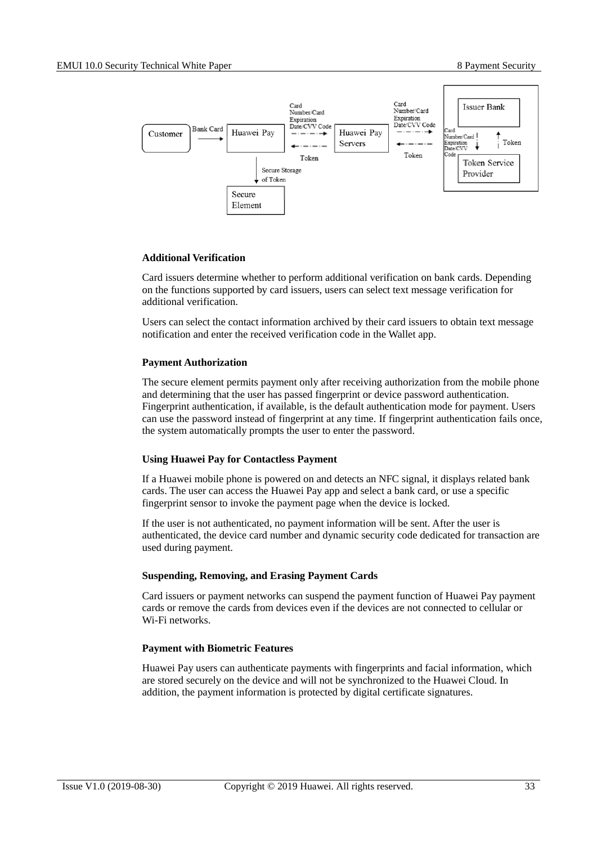

#### **Additional Verification**

Card issuers determine whether to perform additional verification on bank cards. Depending on the functions supported by card issuers, users can select text message verification for additional verification.

Users can select the contact information archived by their card issuers to obtain text message notification and enter the received verification code in the Wallet app.

#### **Payment Authorization**

The secure element permits payment only after receiving authorization from the mobile phone and determining that the user has passed fingerprint or device password authentication. Fingerprint authentication, if available, is the default authentication mode for payment. Users can use the password instead of fingerprint at any time. If fingerprint authentication fails once, the system automatically prompts the user to enter the password.

#### **Using Huawei Pay for Contactless Payment**

If a Huawei mobile phone is powered on and detects an NFC signal, it displays related bank cards. The user can access the Huawei Pay app and select a bank card, or use a specific fingerprint sensor to invoke the payment page when the device is locked.

If the user is not authenticated, no payment information will be sent. After the user is authenticated, the device card number and dynamic security code dedicated for transaction are used during payment.

#### **Suspending, Removing, and Erasing Payment Cards**

Card issuers or payment networks can suspend the payment function of Huawei Pay payment cards or remove the cards from devices even if the devices are not connected to cellular or Wi-Fi networks.

#### **Payment with Biometric Features**

Huawei Pay users can authenticate payments with fingerprints and facial information, which are stored securely on the device and will not be synchronized to the Huawei Cloud. In addition, the payment information is protected by digital certificate signatures.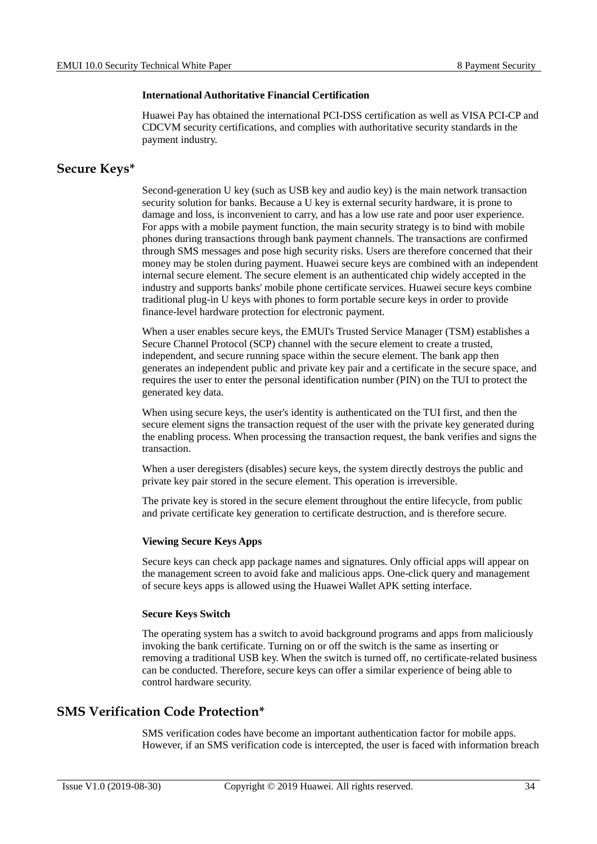#### **International Authoritative Financial Certification**

Huawei Pay has obtained the international PCI-DSS certification as well as VISA PCI-CP and CDCVM security certifications, and complies with authoritative security standards in the payment industry.

#### <span id="page-38-0"></span>**Secure Keys\***

Second-generation U key (such as USB key and audio key) is the main network transaction security solution for banks. Because a U key is external security hardware, it is prone to damage and loss, is inconvenient to carry, and has a low use rate and poor user experience. For apps with a mobile payment function, the main security strategy is to bind with mobile phones during transactions through bank payment channels. The transactions are confirmed through SMS messages and pose high security risks. Users are therefore concerned that their money may be stolen during payment. Huawei secure keys are combined with an independent internal secure element. The secure element is an authenticated chip widely accepted in the industry and supports banks' mobile phone certificate services. Huawei secure keys combine traditional plug-in U keys with phones to form portable secure keys in order to provide finance-level hardware protection for electronic payment.

When a user enables secure keys, the EMUI's Trusted Service Manager (TSM) establishes a Secure Channel Protocol (SCP) channel with the secure element to create a trusted, independent, and secure running space within the secure element. The bank app then generates an independent public and private key pair and a certificate in the secure space, and requires the user to enter the personal identification number (PIN) on the TUI to protect the generated key data.

When using secure keys, the user's identity is authenticated on the TUI first, and then the secure element signs the transaction request of the user with the private key generated during the enabling process. When processing the transaction request, the bank verifies and signs the transaction.

When a user deregisters (disables) secure keys, the system directly destroys the public and private key pair stored in the secure element. This operation is irreversible.

The private key is stored in the secure element throughout the entire lifecycle, from public and private certificate key generation to certificate destruction, and is therefore secure.

#### **Viewing Secure Keys Apps**

Secure keys can check app package names and signatures. Only official apps will appear on the management screen to avoid fake and malicious apps. One-click query and management of secure keys apps is allowed using the Huawei Wallet APK setting interface.

#### **Secure Keys Switch**

The operating system has a switch to avoid background programs and apps from maliciously invoking the bank certificate. Turning on or off the switch is the same as inserting or removing a traditional USB key. When the switch is turned off, no certificate-related business can be conducted. Therefore, secure keys can offer a similar experience of being able to control hardware security.

#### <span id="page-38-1"></span>**SMS Verification Code Protection\***

SMS verification codes have become an important authentication factor for mobile apps. However, if an SMS verification code is intercepted, the user is faced with information breach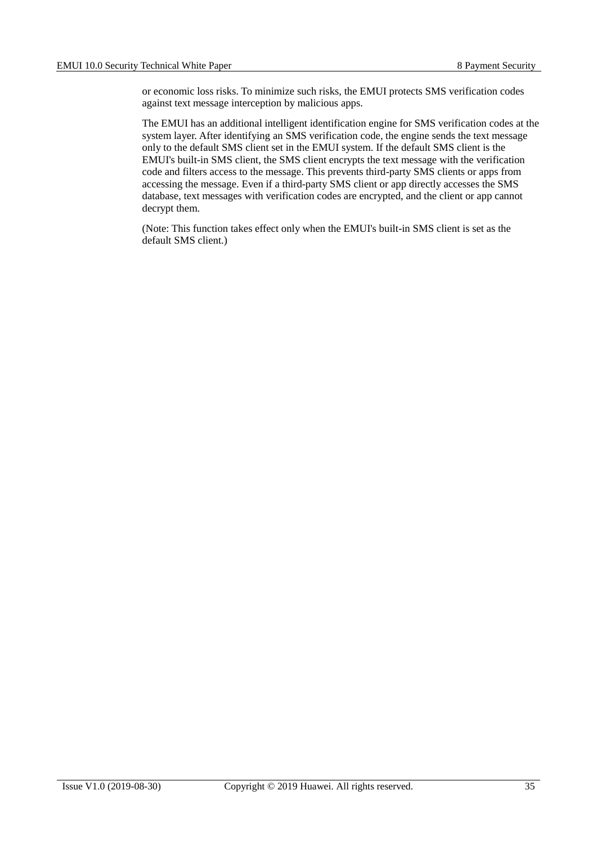or economic loss risks. To minimize such risks, the EMUI protects SMS verification codes against text message interception by malicious apps.

The EMUI has an additional intelligent identification engine for SMS verification codes at the system layer. After identifying an SMS verification code, the engine sends the text message only to the default SMS client set in the EMUI system. If the default SMS client is the EMUI's built-in SMS client, the SMS client encrypts the text message with the verification code and filters access to the message. This prevents third-party SMS clients or apps from accessing the message. Even if a third-party SMS client or app directly accesses the SMS database, text messages with verification codes are encrypted, and the client or app cannot decrypt them.

(Note: This function takes effect only when the EMUI's built-in SMS client is set as the default SMS client.)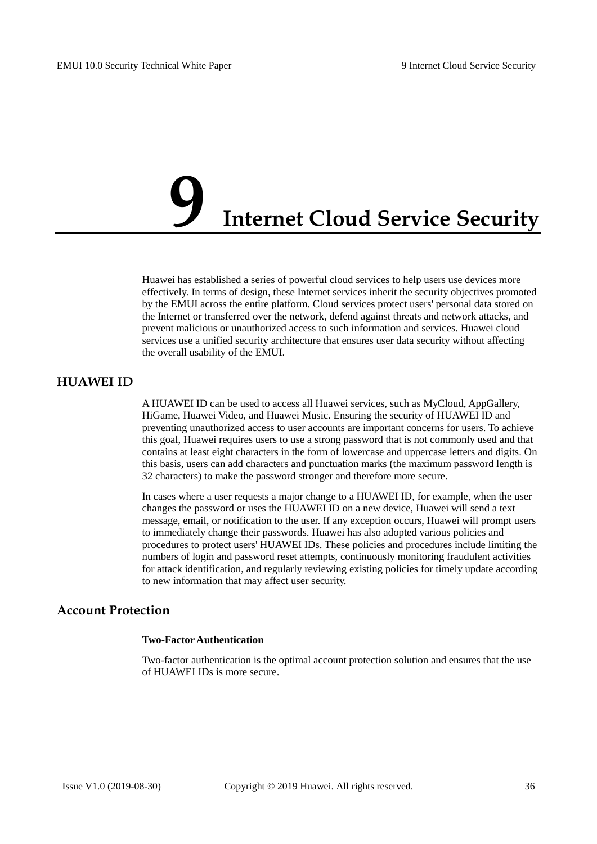## <span id="page-40-0"></span>**Internet Cloud Service Security**

Huawei has established a series of powerful cloud services to help users use devices more effectively. In terms of design, these Internet services inherit the security objectives promoted by the EMUI across the entire platform. Cloud services protect users' personal data stored on the Internet or transferred over the network, defend against threats and network attacks, and prevent malicious or unauthorized access to such information and services. Huawei cloud services use a unified security architecture that ensures user data security without affecting the overall usability of the EMUI.

#### <span id="page-40-1"></span>**HUAWEI ID**

A HUAWEI ID can be used to access all Huawei services, such as MyCloud, AppGallery, HiGame, Huawei Video, and Huawei Music. Ensuring the security of HUAWEI ID and preventing unauthorized access to user accounts are important concerns for users. To achieve this goal, Huawei requires users to use a strong password that is not commonly used and that contains at least eight characters in the form of lowercase and uppercase letters and digits. On this basis, users can add characters and punctuation marks (the maximum password length is 32 characters) to make the password stronger and therefore more secure.

In cases where a user requests a major change to a HUAWEI ID, for example, when the user changes the password or uses the HUAWEI ID on a new device, Huawei will send a text message, email, or notification to the user. If any exception occurs, Huawei will prompt users to immediately change their passwords. Huawei has also adopted various policies and procedures to protect users' HUAWEI IDs. These policies and procedures include limiting the numbers of login and password reset attempts, continuously monitoring fraudulent activities for attack identification, and regularly reviewing existing policies for timely update according to new information that may affect user security.

#### <span id="page-40-2"></span>**Account Protection**

#### **Two-Factor Authentication**

Two-factor authentication is the optimal account protection solution and ensures that the use of HUAWEI IDs is more secure.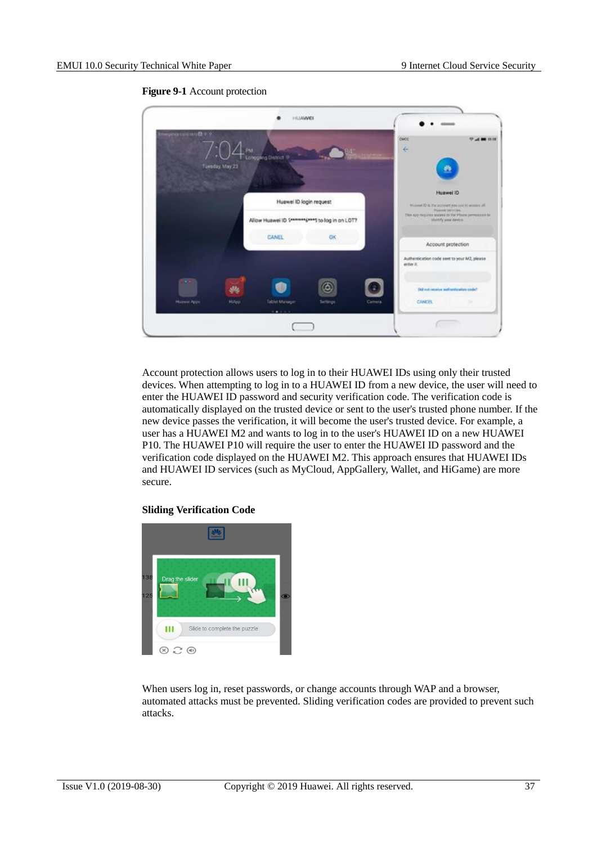<span id="page-41-0"></span>

**Figure 9-1** Account protection

Account protection allows users to log in to their HUAWEI IDs using only their trusted devices. When attempting to log in to a HUAWEI ID from a new device, the user will need to enter the HUAWEI ID password and security verification code. The verification code is automatically displayed on the trusted device or sent to the user's trusted phone number. If the new device passes the verification, it will become the user's trusted device. For example, a user has a HUAWEI M2 and wants to log in to the user's HUAWEI ID on a new HUAWEI P10. The HUAWEI P10 will require the user to enter the HUAWEI ID password and the verification code displayed on the HUAWEI M2. This approach ensures that HUAWEI IDs and HUAWEI ID services (such as MyCloud, AppGallery, Wallet, and HiGame) are more secure.

#### **Sliding Verification Code**



When users log in, reset passwords, or change accounts through WAP and a browser, automated attacks must be prevented. Sliding verification codes are provided to prevent such attacks.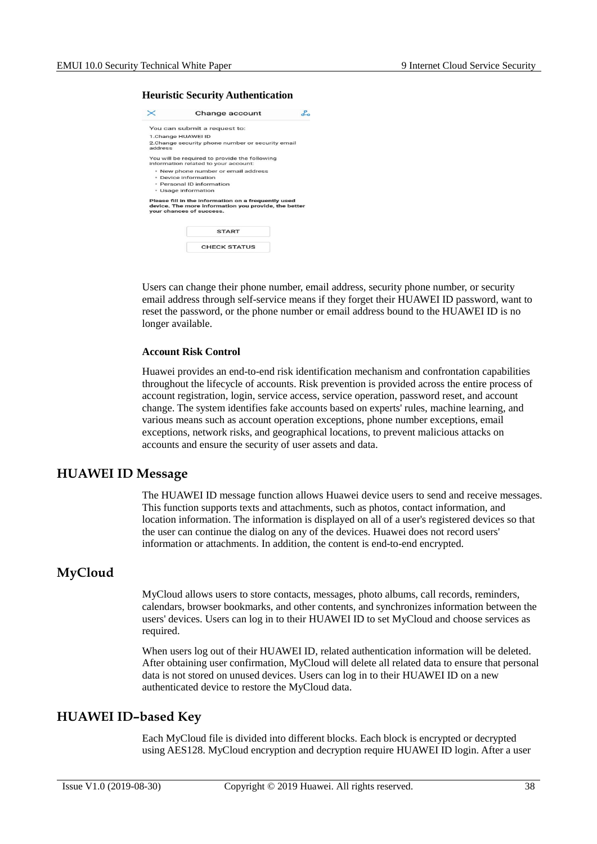#### **Heuristic Security Authentication**

| Change account                                                                                                                          |  |
|-----------------------------------------------------------------------------------------------------------------------------------------|--|
| You can submit a request to:                                                                                                            |  |
| 1.Change HUAWEI ID                                                                                                                      |  |
| 2. Change security phone number or security email                                                                                       |  |
| You will be required to provide the following<br>information related to your account:                                                   |  |
| . New phone number or email address                                                                                                     |  |
| · Device information                                                                                                                    |  |
| · Personal ID information                                                                                                               |  |
| • Usage information                                                                                                                     |  |
| Please fill in the information on a frequently used<br>device. The more information you provide, the better<br>vour chances of success. |  |
| <b>START</b>                                                                                                                            |  |
| CHECK STATUS                                                                                                                            |  |
|                                                                                                                                         |  |

Users can change their phone number, email address, security phone number, or security email address through self-service means if they forget their HUAWEI ID password, want to reset the password, or the phone number or email address bound to the HUAWEI ID is no longer available.

#### **Account Risk Control**

Huawei provides an end-to-end risk identification mechanism and confrontation capabilities throughout the lifecycle of accounts. Risk prevention is provided across the entire process of account registration, login, service access, service operation, password reset, and account change. The system identifies fake accounts based on experts' rules, machine learning, and various means such as account operation exceptions, phone number exceptions, email exceptions, network risks, and geographical locations, to prevent malicious attacks on accounts and ensure the security of user assets and data.

#### <span id="page-42-0"></span>**HUAWEI ID Message**

The HUAWEI ID message function allows Huawei device users to send and receive messages. This function supports texts and attachments, such as photos, contact information, and location information. The information is displayed on all of a user's registered devices so that the user can continue the dialog on any of the devices. Huawei does not record users' information or attachments. In addition, the content is end-to-end encrypted.

#### <span id="page-42-1"></span>**MyCloud**

MyCloud allows users to store contacts, messages, photo albums, call records, reminders, calendars, browser bookmarks, and other contents, and synchronizes information between the users' devices. Users can log in to their HUAWEI ID to set MyCloud and choose services as required.

When users log out of their HUAWEI ID, related authentication information will be deleted. After obtaining user confirmation, MyCloud will delete all related data to ensure that personal data is not stored on unused devices. Users can log in to their HUAWEI ID on a new authenticated device to restore the MyCloud data.

#### <span id="page-42-2"></span>**HUAWEI ID–based Key**

Each MyCloud file is divided into different blocks. Each block is encrypted or decrypted using AES128. MyCloud encryption and decryption require HUAWEI ID login. After a user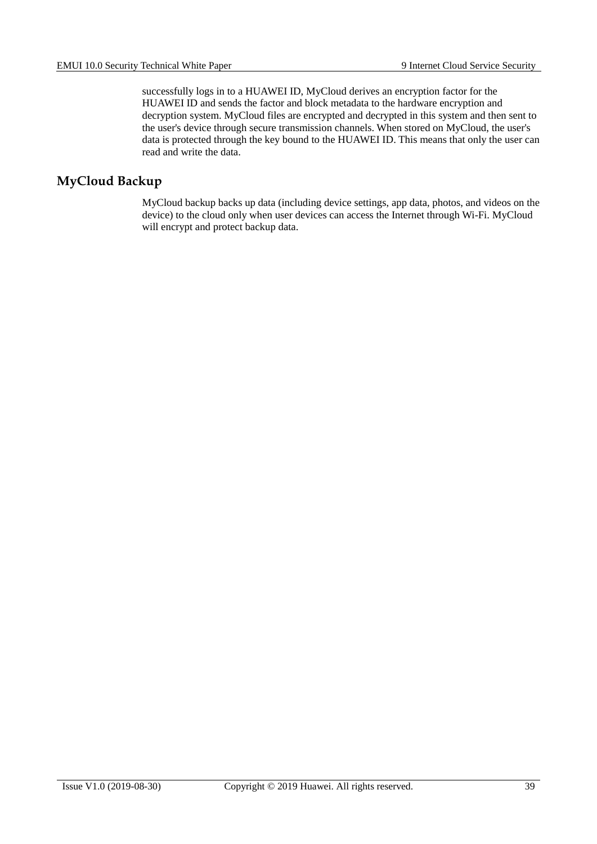successfully logs in to a HUAWEI ID, MyCloud derives an encryption factor for the HUAWEI ID and sends the factor and block metadata to the hardware encryption and decryption system. MyCloud files are encrypted and decrypted in this system and then sent to the user's device through secure transmission channels. When stored on MyCloud, the user's data is protected through the key bound to the HUAWEI ID. This means that only the user can read and write the data.

#### <span id="page-43-0"></span>**MyCloud Backup**

MyCloud backup backs up data (including device settings, app data, photos, and videos on the device) to the cloud only when user devices can access the Internet through Wi-Fi. MyCloud will encrypt and protect backup data.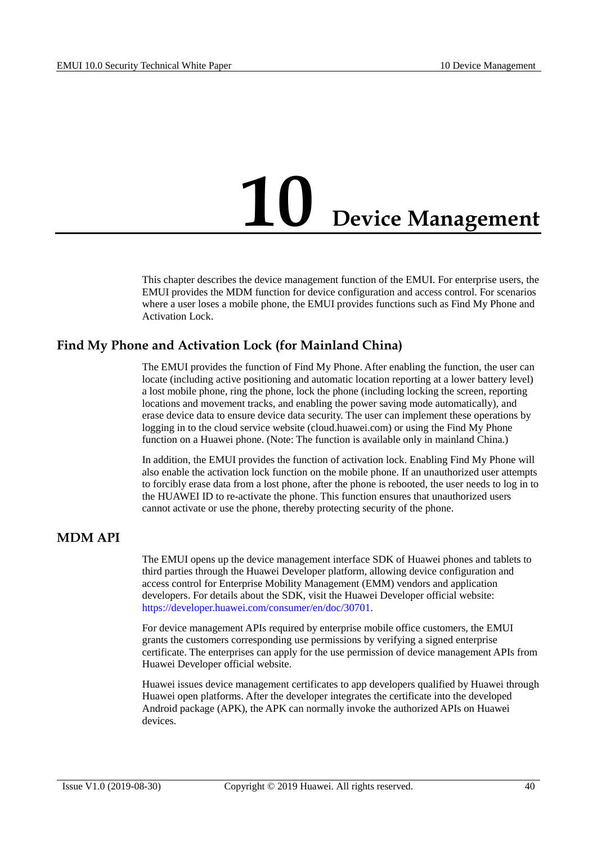## <span id="page-44-0"></span>**10 Device Management**

This chapter describes the device management function of the EMUI. For enterprise users, the EMUI provides the MDM function for device configuration and access control. For scenarios where a user loses a mobile phone, the EMUI provides functions such as Find My Phone and Activation Lock.

#### <span id="page-44-1"></span>**Find My Phone and Activation Lock (for Mainland China)**

The EMUI provides the function of Find My Phone. After enabling the function, the user can locate (including active positioning and automatic location reporting at a lower battery level) a lost mobile phone, ring the phone, lock the phone (including locking the screen, reporting locations and movement tracks, and enabling the power saving mode automatically), and erase device data to ensure device data security. The user can implement these operations by logging in to the cloud service website (cloud.huawei.com) or using the Find My Phone function on a Huawei phone. (Note: The function is available only in mainland China.)

In addition, the EMUI provides the function of activation lock. Enabling Find My Phone will also enable the activation lock function on the mobile phone. If an unauthorized user attempts to forcibly erase data from a lost phone, after the phone is rebooted, the user needs to log in to the HUAWEI ID to re-activate the phone. This function ensures that unauthorized users cannot activate or use the phone, thereby protecting security of the phone.

#### <span id="page-44-2"></span>**MDM API**

The EMUI opens up the device management interface SDK of Huawei phones and tablets to third parties through the Huawei Developer platform, allowing device configuration and access control for Enterprise Mobility Management (EMM) vendors and application developers. For details about the SDK, visit the Huawei Developer official website: [https://developer.huawei.com/consumer/en/doc/30701.](https://developer.huawei.com/consumer/en/doc/30701)

For device management APIs required by enterprise mobile office customers, the EMUI grants the customers corresponding use permissions by verifying a signed enterprise certificate. The enterprises can apply for the use permission of device management APIs from Huawei Developer official website.

Huawei issues device management certificates to app developers qualified by Huawei through Huawei open platforms. After the developer integrates the certificate into the developed Android package (APK), the APK can normally invoke the authorized APIs on Huawei devices.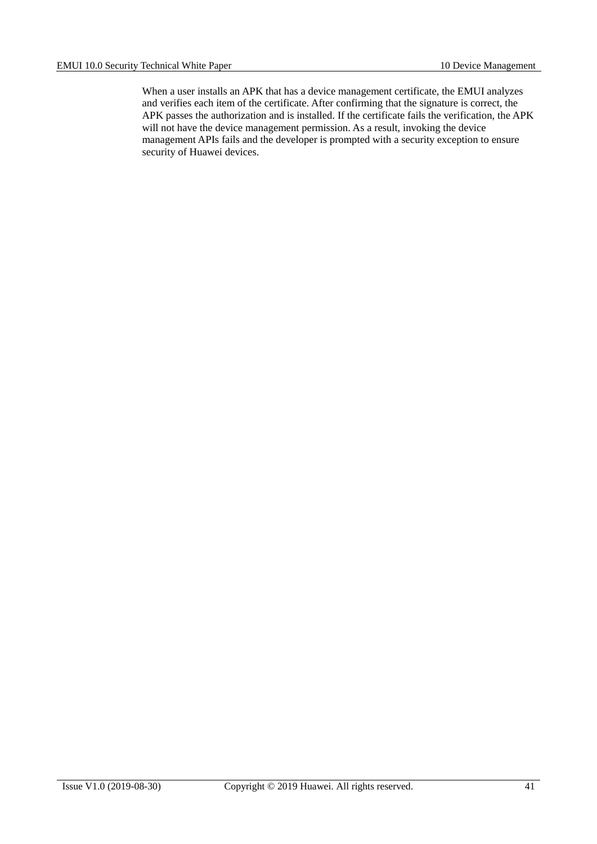When a user installs an APK that has a device management certificate, the EMUI analyzes and verifies each item of the certificate. After confirming that the signature is correct, the APK passes the authorization and is installed. If the certificate fails the verification, the APK will not have the device management permission. As a result, invoking the device management APIs fails and the developer is prompted with a security exception to ensure security of Huawei devices.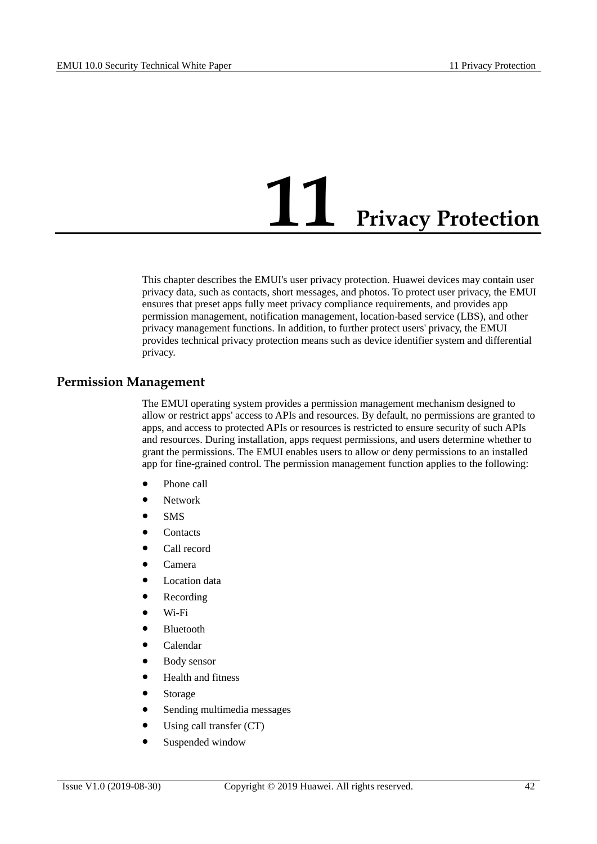## **11 Privacy Protection**

<span id="page-46-0"></span>This chapter describes the EMUI's user privacy protection. Huawei devices may contain user privacy data, such as contacts, short messages, and photos. To protect user privacy, the EMUI ensures that preset apps fully meet privacy compliance requirements, and provides app permission management, notification management, location-based service (LBS), and other privacy management functions. In addition, to further protect users' privacy, the EMUI provides technical privacy protection means such as device identifier system and differential privacy.

#### <span id="page-46-1"></span>**Permission Management**

The EMUI operating system provides a permission management mechanism designed to allow or restrict apps' access to APIs and resources. By default, no permissions are granted to apps, and access to protected APIs or resources is restricted to ensure security of such APIs and resources. During installation, apps request permissions, and users determine whether to grant the permissions. The EMUI enables users to allow or deny permissions to an installed app for fine-grained control. The permission management function applies to the following:

- Phone call
- Network
- $\bullet$  SMS
- Contacts
- Call record
- Camera
- **•** Location data
- Recording
- Wi-Fi
- Bluetooth
- Calendar
- Body sensor
- Health and fitness
- Storage
- Sending multimedia messages
- Using call transfer (CT)
- Suspended window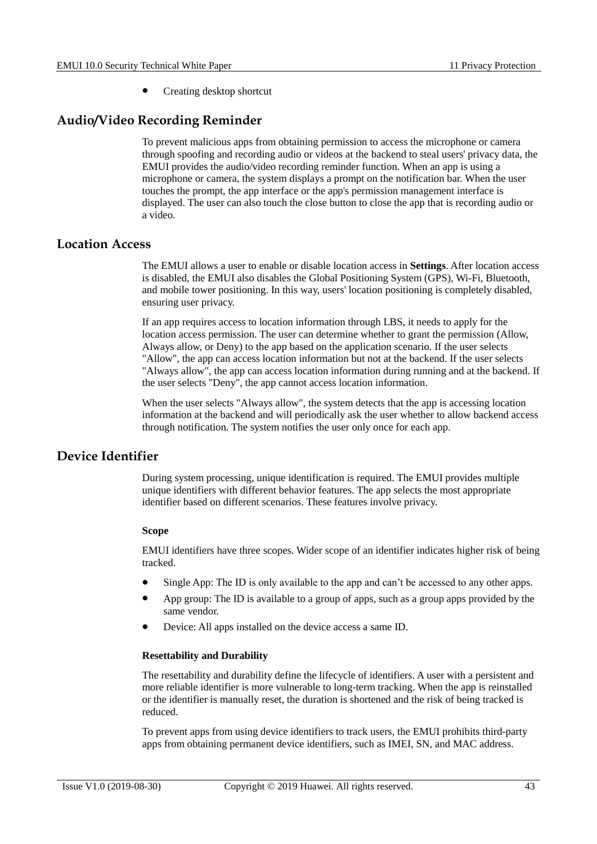Creating desktop shortcut

#### <span id="page-47-0"></span>**Audio/Video Recording Reminder**

To prevent malicious apps from obtaining permission to access the microphone or camera through spoofing and recording audio or videos at the backend to steal users' privacy data, the EMUI provides the audio/video recording reminder function. When an app is using a microphone or camera, the system displays a prompt on the notification bar. When the user touches the prompt, the app interface or the app's permission management interface is displayed. The user can also touch the close button to close the app that is recording audio or a video.

#### <span id="page-47-1"></span>**Location Access**

The EMUI allows a user to enable or disable location access in **Settings**. After location access is disabled, the EMUI also disables the Global Positioning System (GPS), Wi-Fi, Bluetooth, and mobile tower positioning. In this way, users' location positioning is completely disabled, ensuring user privacy.

If an app requires access to location information through LBS, it needs to apply for the location access permission. The user can determine whether to grant the permission (Allow, Always allow, or Deny) to the app based on the application scenario. If the user selects "Allow", the app can access location information but not at the backend. If the user selects "Always allow", the app can access location information during running and at the backend. If the user selects "Deny", the app cannot access location information.

When the user selects "Always allow", the system detects that the app is accessing location information at the backend and will periodically ask the user whether to allow backend access through notification. The system notifies the user only once for each app.

#### <span id="page-47-2"></span>**Device Identifier**

During system processing, unique identification is required. The EMUI provides multiple unique identifiers with different behavior features. The app selects the most appropriate identifier based on different scenarios. These features involve privacy.

#### **Scope**

EMUI identifiers have three scopes. Wider scope of an identifier indicates higher risk of being tracked.

- Single App: The ID is only available to the app and can't be accessed to any other apps.
- App group: The ID is available to a group of apps, such as a group apps provided by the same vendor.
- Device: All apps installed on the device access a same ID.

#### **Resettability and Durability**

The resettability and durability define the lifecycle of identifiers. A user with a persistent and more reliable identifier is more vulnerable to long-term tracking. When the app is reinstalled or the identifier is manually reset, the duration is shortened and the risk of being tracked is reduced.

To prevent apps from using device identifiers to track users, the EMUI prohibits third-party apps from obtaining permanent device identifiers, such as IMEI, SN, and MAC address.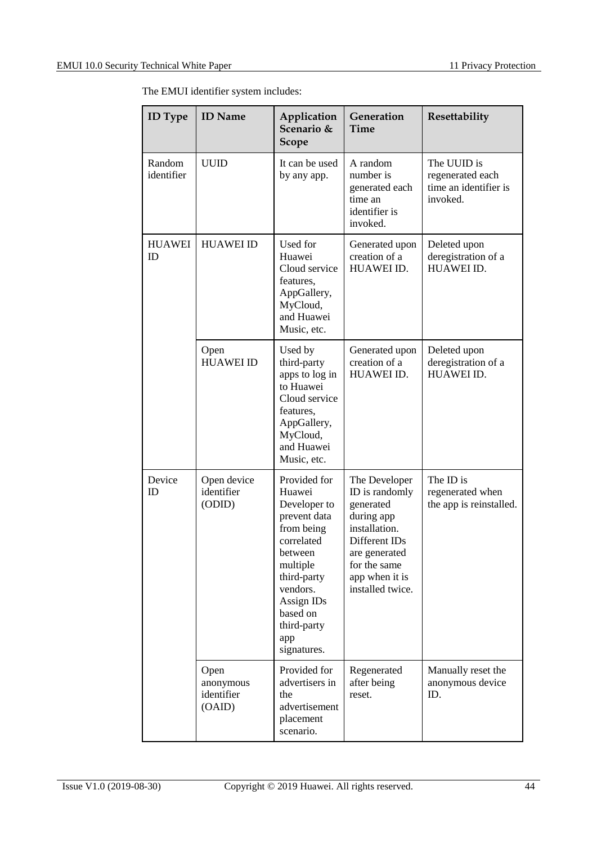The EMUI identifier system includes:

| <b>ID</b> Type       | <b>ID</b> Name                            | Application<br>Scenario &<br><b>Scope</b>                                                                                                                                                           | Generation<br>Time                                                                                                                                                  | Resettability                                                        |
|----------------------|-------------------------------------------|-----------------------------------------------------------------------------------------------------------------------------------------------------------------------------------------------------|---------------------------------------------------------------------------------------------------------------------------------------------------------------------|----------------------------------------------------------------------|
| Random<br>identifier | <b>UUID</b>                               | It can be used<br>by any app.                                                                                                                                                                       | A random<br>number is<br>generated each<br>time an<br>identifier is<br>invoked.                                                                                     | The UUID is<br>regenerated each<br>time an identifier is<br>invoked. |
| <b>HUAWEI</b><br>ID  | <b>HUAWEI ID</b>                          | Used for<br>Huawei<br>Cloud service<br>features,<br>AppGallery,<br>MyCloud,<br>and Huawei<br>Music, etc.                                                                                            | Generated upon<br>creation of a<br>HUAWEI ID.                                                                                                                       | Deleted upon<br>deregistration of a<br>HUAWEI ID.                    |
|                      | Open<br><b>HUAWEI ID</b>                  | Used by<br>third-party<br>apps to log in<br>to Huawei<br>Cloud service<br>features,<br>AppGallery,<br>MyCloud,<br>and Huawei<br>Music, etc.                                                         | Generated upon<br>creation of a<br>HUAWEI ID.                                                                                                                       | Deleted upon<br>deregistration of a<br><b>HUAWEI ID.</b>             |
| Device<br>ID         | Open device<br>identifier<br>(ODID)       | Provided for<br>Huawei<br>Developer to<br>prevent data<br>from being<br>correlated<br>between<br>multiple<br>third-party<br>vendors.<br>Assign IDs<br>based on<br>third-party<br>app<br>signatures. | The Developer<br>ID is randomly<br>generated<br>during app<br>installation.<br>Different IDs<br>are generated<br>for the same<br>app when it is<br>installed twice. | The ID is<br>regenerated when<br>the app is reinstalled.             |
|                      | Open<br>anonymous<br>identifier<br>(OAID) | Provided for<br>advertisers in<br>the<br>advertisement<br>placement<br>scenario.                                                                                                                    | Regenerated<br>after being<br>reset.                                                                                                                                | Manually reset the<br>anonymous device<br>ID.                        |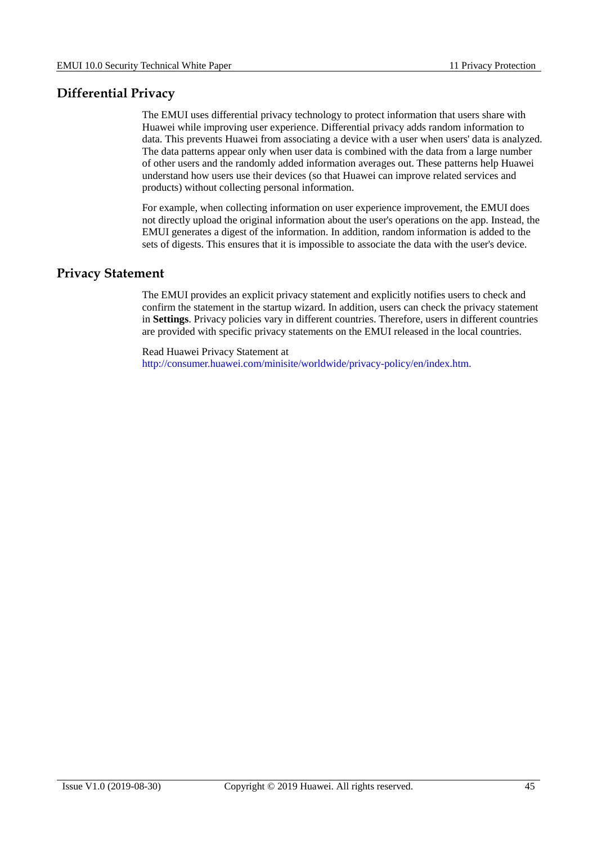#### <span id="page-49-0"></span>**Differential Privacy**

The EMUI uses differential privacy technology to protect information that users share with Huawei while improving user experience. Differential privacy adds random information to data. This prevents Huawei from associating a device with a user when users' data is analyzed. The data patterns appear only when user data is combined with the data from a large number of other users and the randomly added information averages out. These patterns help Huawei understand how users use their devices (so that Huawei can improve related services and products) without collecting personal information.

For example, when collecting information on user experience improvement, the EMUI does not directly upload the original information about the user's operations on the app. Instead, the EMUI generates a digest of the information. In addition, random information is added to the sets of digests. This ensures that it is impossible to associate the data with the user's device.

#### <span id="page-49-1"></span>**Privacy Statement**

The EMUI provides an explicit privacy statement and explicitly notifies users to check and confirm the statement in the startup wizard. In addition, users can check the privacy statement in **Settings**. Privacy policies vary in different countries. Therefore, users in different countries are provided with specific privacy statements on the EMUI released in the local countries.

Read Huawei Privacy Statement at [http://consumer.huawei.com/minisite/worldwide/privacy-policy/en/index.htm.](http://consumer.huawei.com/minisite/worldwide/privacy-policy/en/index.htm)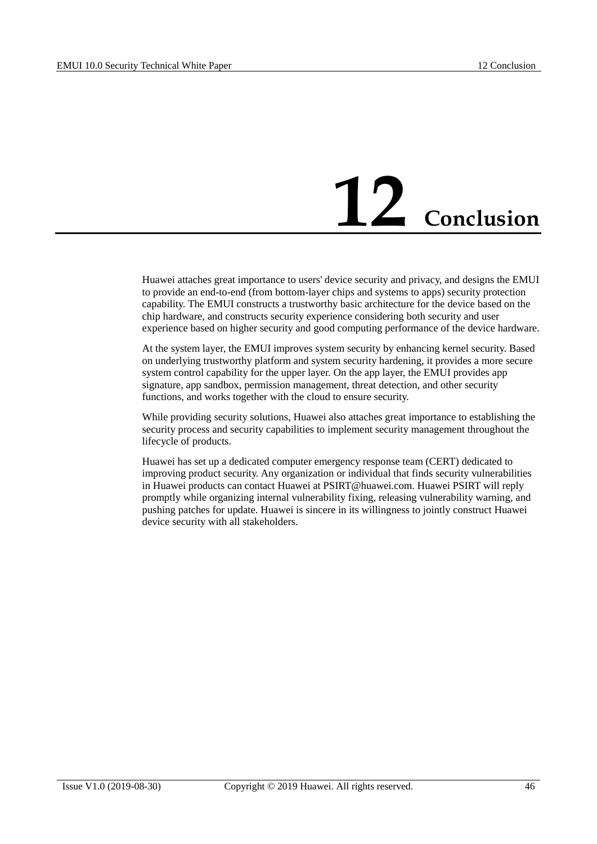# **12 Conclusion**

<span id="page-50-0"></span>Huawei attaches great importance to users' device security and privacy, and designs the EMUI to provide an end-to-end (from bottom-layer chips and systems to apps) security protection capability. The EMUI constructs a trustworthy basic architecture for the device based on the chip hardware, and constructs security experience considering both security and user experience based on higher security and good computing performance of the device hardware.

At the system layer, the EMUI improves system security by enhancing kernel security. Based on underlying trustworthy platform and system security hardening, it provides a more secure system control capability for the upper layer. On the app layer, the EMUI provides app signature, app sandbox, permission management, threat detection, and other security functions, and works together with the cloud to ensure security.

While providing security solutions, Huawei also attaches great importance to establishing the security process and security capabilities to implement security management throughout the lifecycle of products.

Huawei has set up a dedicated computer emergency response team (CERT) dedicated to improving product security. Any organization or individual that finds security vulnerabilities in Huawei products can contact Huawei at [PSIRT@huawei.com.](mailto:PSIRT@huawei.com) Huawei PSIRT will reply promptly while organizing internal vulnerability fixing, releasing vulnerability warning, and pushing patches for update. Huawei is sincere in its willingness to jointly construct Huawei device security with all stakeholders.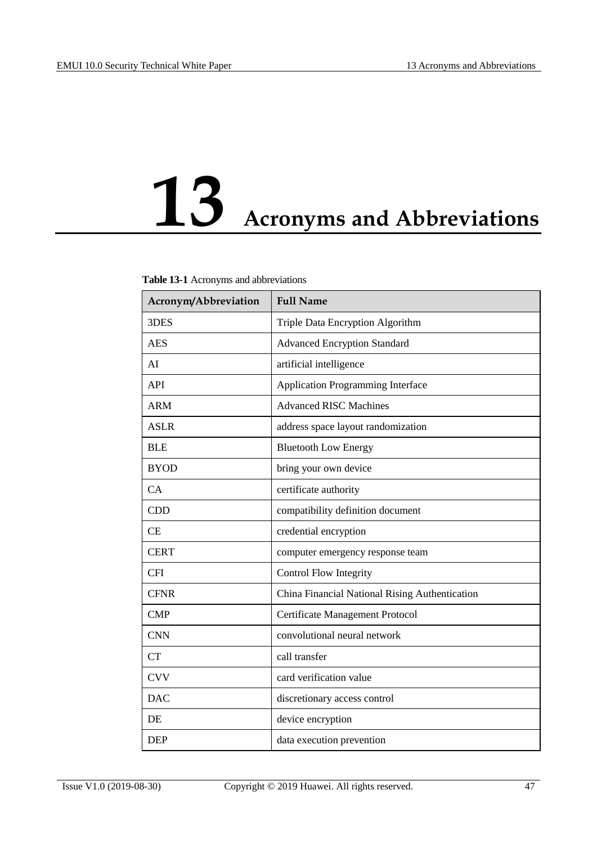# <span id="page-51-0"></span>**13 Acronyms and Abbreviations**

#### **Table 13-1** Acronyms and abbreviations

| Acronym/Abbreviation | <b>Full Name</b>                               |
|----------------------|------------------------------------------------|
| 3DES                 | Triple Data Encryption Algorithm               |
| <b>AES</b>           | <b>Advanced Encryption Standard</b>            |
| AI                   | artificial intelligence                        |
| <b>API</b>           | <b>Application Programming Interface</b>       |
| <b>ARM</b>           | <b>Advanced RISC Machines</b>                  |
| <b>ASLR</b>          | address space layout randomization             |
| <b>BLE</b>           | <b>Bluetooth Low Energy</b>                    |
| <b>BYOD</b>          | bring your own device                          |
| CA                   | certificate authority                          |
| <b>CDD</b>           | compatibility definition document              |
| CE                   | credential encryption                          |
| <b>CERT</b>          | computer emergency response team               |
| <b>CFI</b>           | <b>Control Flow Integrity</b>                  |
| <b>CFNR</b>          | China Financial National Rising Authentication |
| <b>CMP</b>           | Certificate Management Protocol                |
| <b>CNN</b>           | convolutional neural network                   |
| CT                   | call transfer                                  |
| <b>CVV</b>           | card verification value                        |
| <b>DAC</b>           | discretionary access control                   |
| DE                   | device encryption                              |
| <b>DEP</b>           | data execution prevention                      |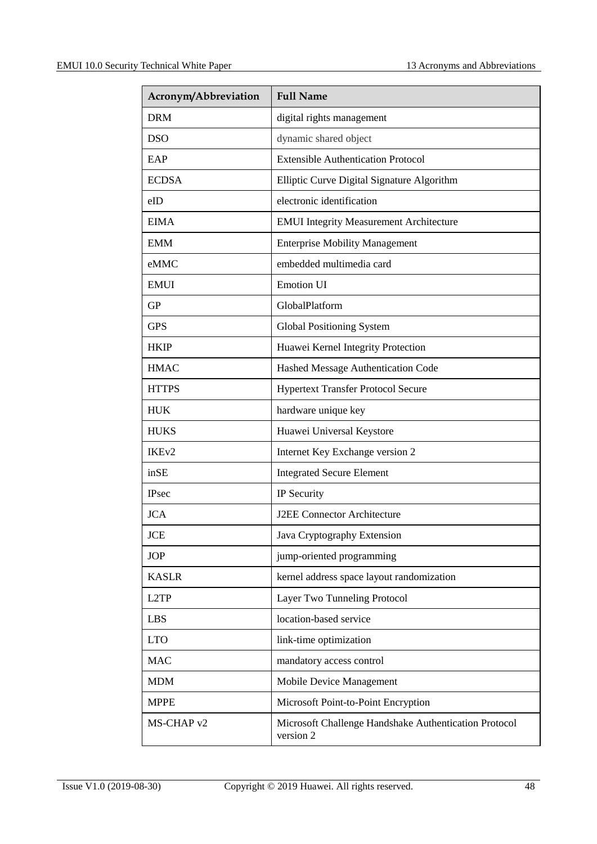| Acronym/Abbreviation | <b>Full Name</b>                                                   |
|----------------------|--------------------------------------------------------------------|
| <b>DRM</b>           | digital rights management                                          |
| <b>DSO</b>           | dynamic shared object                                              |
| EAP                  | <b>Extensible Authentication Protocol</b>                          |
| <b>ECDSA</b>         | Elliptic Curve Digital Signature Algorithm                         |
| eID                  | electronic identification                                          |
| <b>EIMA</b>          | <b>EMUI Integrity Measurement Architecture</b>                     |
| <b>EMM</b>           | <b>Enterprise Mobility Management</b>                              |
| eMMC                 | embedded multimedia card                                           |
| <b>EMUI</b>          | <b>Emotion UI</b>                                                  |
| <b>GP</b>            | GlobalPlatform                                                     |
| <b>GPS</b>           | <b>Global Positioning System</b>                                   |
| <b>HKIP</b>          | Huawei Kernel Integrity Protection                                 |
| <b>HMAC</b>          | Hashed Message Authentication Code                                 |
| <b>HTTPS</b>         | <b>Hypertext Transfer Protocol Secure</b>                          |
| <b>HUK</b>           | hardware unique key                                                |
| <b>HUKS</b>          | Huawei Universal Keystore                                          |
| IKE <sub>v2</sub>    | Internet Key Exchange version 2                                    |
| inSE                 | <b>Integrated Secure Element</b>                                   |
| <b>IPsec</b>         | IP Security                                                        |
| <b>JCA</b>           | <b>J2EE Connector Architecture</b>                                 |
| <b>JCE</b>           | Java Cryptography Extension                                        |
| <b>JOP</b>           | jump-oriented programming                                          |
| <b>KASLR</b>         | kernel address space layout randomization                          |
| L <sub>2</sub> TP    | Layer Two Tunneling Protocol                                       |
| <b>LBS</b>           | location-based service                                             |
| <b>LTO</b>           | link-time optimization                                             |
| <b>MAC</b>           | mandatory access control                                           |
| <b>MDM</b>           | Mobile Device Management                                           |
| <b>MPPE</b>          | Microsoft Point-to-Point Encryption                                |
| MS-CHAP v2           | Microsoft Challenge Handshake Authentication Protocol<br>version 2 |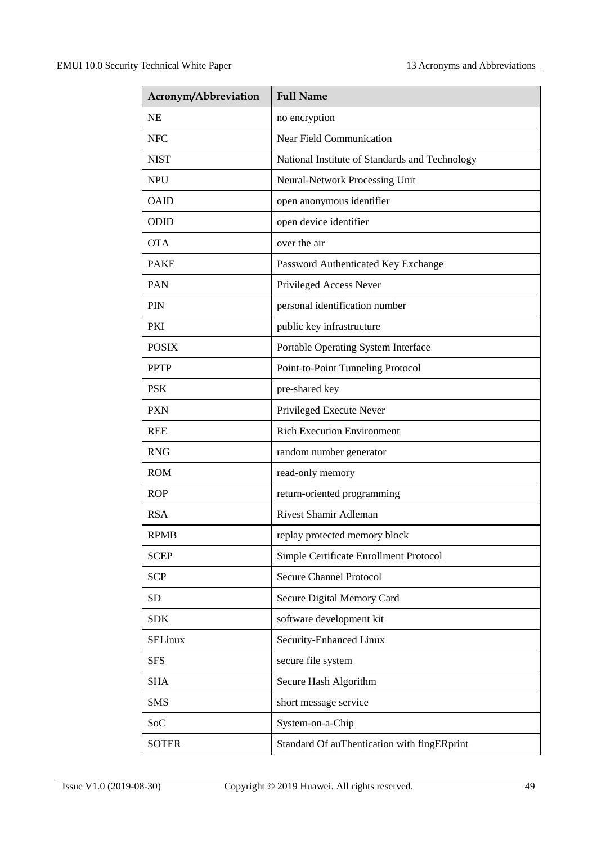| Acronym/Abbreviation | <b>Full Name</b>                               |
|----------------------|------------------------------------------------|
| <b>NE</b>            | no encryption                                  |
| <b>NFC</b>           | <b>Near Field Communication</b>                |
| <b>NIST</b>          | National Institute of Standards and Technology |
| <b>NPU</b>           | Neural-Network Processing Unit                 |
| <b>OAID</b>          | open anonymous identifier                      |
| <b>ODID</b>          | open device identifier                         |
| <b>OTA</b>           | over the air                                   |
| <b>PAKE</b>          | Password Authenticated Key Exchange            |
| <b>PAN</b>           | Privileged Access Never                        |
| <b>PIN</b>           | personal identification number                 |
| PKI                  | public key infrastructure                      |
| <b>POSIX</b>         | Portable Operating System Interface            |
| <b>PPTP</b>          | Point-to-Point Tunneling Protocol              |
| <b>PSK</b>           | pre-shared key                                 |
| <b>PXN</b>           | Privileged Execute Never                       |
| <b>REE</b>           | <b>Rich Execution Environment</b>              |
| <b>RNG</b>           | random number generator                        |
| <b>ROM</b>           | read-only memory                               |
| <b>ROP</b>           | return-oriented programming                    |
| <b>RSA</b>           | Rivest Shamir Adleman                          |
| RPMB                 | replay protected memory block                  |
| <b>SCEP</b>          | Simple Certificate Enrollment Protocol         |
| <b>SCP</b>           | <b>Secure Channel Protocol</b>                 |
| <b>SD</b>            | Secure Digital Memory Card                     |
| <b>SDK</b>           | software development kit                       |
| <b>SELinux</b>       | Security-Enhanced Linux                        |
| <b>SFS</b>           | secure file system                             |
| <b>SHA</b>           | Secure Hash Algorithm                          |
| <b>SMS</b>           | short message service                          |
| SoC                  | System-on-a-Chip                               |
| <b>SOTER</b>         | Standard Of auThentication with fingERprint    |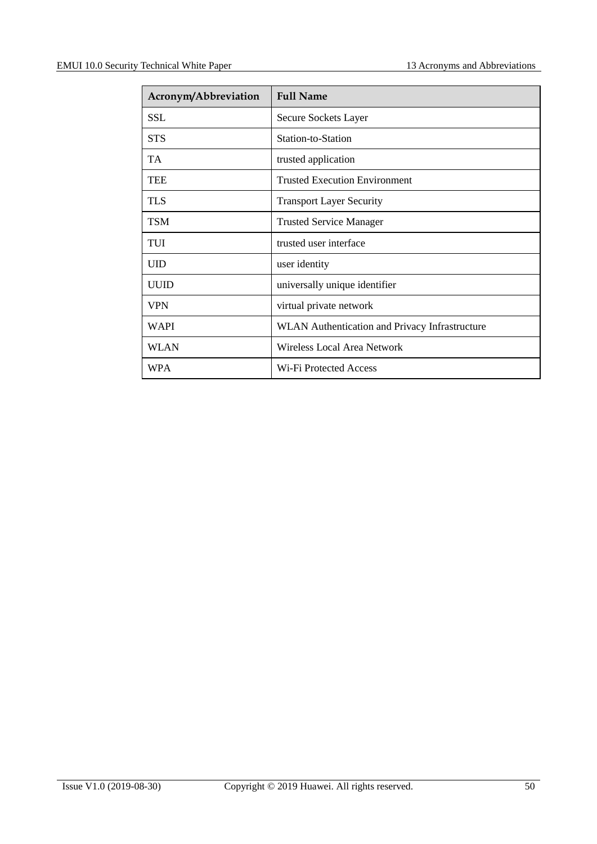| Acronym/Abbreviation | <b>Full Name</b>                                      |
|----------------------|-------------------------------------------------------|
| <b>SSL</b>           | Secure Sockets Layer                                  |
| <b>STS</b>           | Station-to-Station                                    |
| <b>TA</b>            | trusted application                                   |
| <b>TEE</b>           | <b>Trusted Execution Environment</b>                  |
| <b>TLS</b>           | <b>Transport Layer Security</b>                       |
| <b>TSM</b>           | <b>Trusted Service Manager</b>                        |
| TUI                  | trusted user interface                                |
| <b>UID</b>           | user identity                                         |
| <b>UUID</b>          | universally unique identifier                         |
| <b>VPN</b>           | virtual private network                               |
| <b>WAPI</b>          | <b>WLAN</b> Authentication and Privacy Infrastructure |
| <b>WLAN</b>          | Wireless Local Area Network                           |
| <b>WPA</b>           | Wi-Fi Protected Access                                |